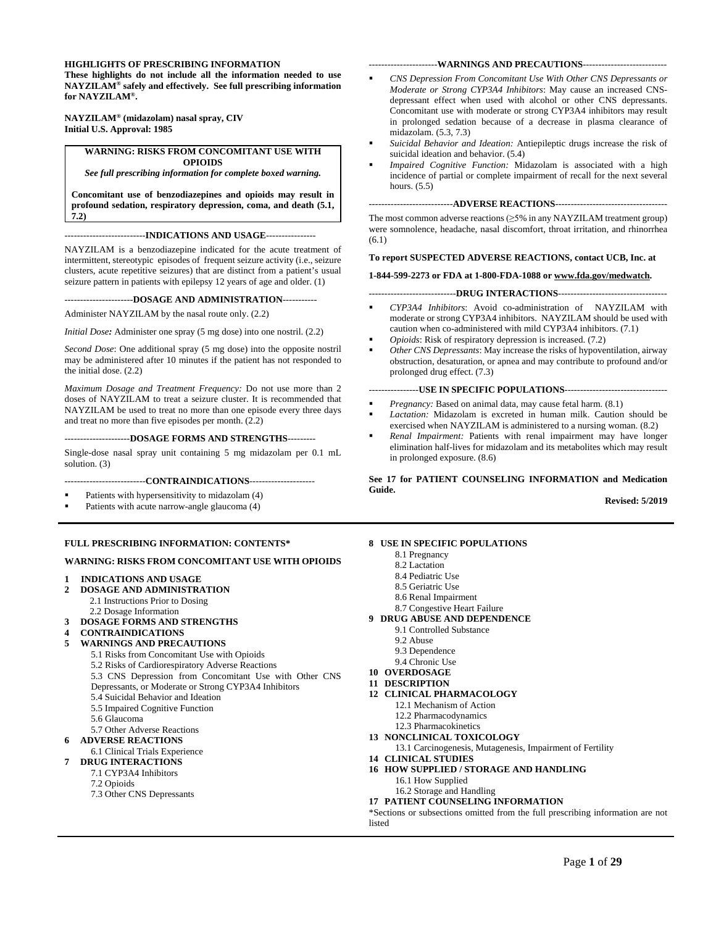#### **HIGHLIGHTS OF PRESCRIBING INFORMATION**

**These highlights do not include all the information needed to use NAYZILAM® safely and effectively. See full prescribing information for NAYZILAM®.** 

**NAYZILAM® (midazolam) nasal spray, CIV Initial U.S. Approval: 1985**

**WARNING: RISKS FROM CONCOMITANT USE WITH OPIOIDS**

*See full prescribing information for complete boxed warning.*

**Concomitant use of benzodiazepines and opioids may result in profound sedation, respiratory depression, coma, and death (5.1, 7.2)**

--------------------------**INDICATIONS AND USAGE**----------------

NAYZILAM is a benzodiazepine indicated for the acute treatment of intermittent, stereotypic episodes of frequent seizure activity (i.e., seizure clusters, acute repetitive seizures) that are distinct from a patient's usual seizure pattern in patients with epilepsy 12 years of age and older. (1)

----------------------**DOSAGE AND ADMINISTRATION**-----------

Administer NAYZILAM by the nasal route only. (2.2)

*Initial Dose:* Administer one spray (5 mg dose) into one nostril. (2.2)

*Second Dose*: One additional spray (5 mg dose) into the opposite nostril may be administered after 10 minutes if the patient has not responded to the initial dose. (2.2)

*Maximum Dosage and Treatment Frequency:* Do not use more than 2 doses of NAYZILAM to treat a seizure cluster. It is recommended that NAYZILAM be used to treat no more than one episode every three days and treat no more than five episodes per month. (2.2)

---------------------**DOSAGE FORMS AND STRENGTHS**---------

Single-dose nasal spray unit containing 5 mg midazolam per 0.1 mL solution. (3)

----CONTRAINDICATIONS----

- Patients with hypersensitivity to midazolam (4)
- Patients with acute narrow-angle glaucoma (4)

#### **FULL PRESCRIBING INFORMATION: CONTENTS\***

#### **WARNING: RISKS FROM CONCOMITANT USE WITH OPIOIDS**

# **1 INDICATIONS AND USAGE<br>2 DOSAGE AND ADMINISTRA**

- **2 DOSAGE AND ADMINISTRATION**
	- 2.1 Instructions Prior to Dosing
	- 2.2 Dosage Information
- **3 DOSAGE FORMS AND STRENGTHS**
- **4 CONTRAINDICATIONS**
- **5 WARNINGS AND PRECAUTIONS**
	- 5.1 Risks from Concomitant Use with Opioids
		- 5.2 Risks of Cardiorespiratory Adverse Reactions
		- 5.3 CNS Depression from Concomitant Use with Other CNS
		- Depressants, or Moderate or Strong CYP3A4 Inhibitors
		- 5.4 Suicidal Behavior and Ideation
		- 5.5 Impaired Cognitive Function
		- 5.6 Glaucoma
		- 5.7 Other Adverse Reactions
- **6 ADVERSE REACTIONS**
- 6.1 Clinical Trials Experience

#### **7 DRUG INTERACTIONS**

- 7.1 CYP3A4 Inhibitors
- 7.2 Opioids
- 7.3 Other CNS Depressants

#### ----------------------**WARNINGS AND PRECAUTIONS**---------------------------

- *CNS Depression From Concomitant Use With Other CNS Depressants or Moderate or Strong CYP3A4 Inhibitors*: May cause an increased CNSdepressant effect when used with alcohol or other CNS depressants. Concomitant use with moderate or strong CYP3A4 inhibitors may result in prolonged sedation because of a decrease in plasma clearance of midazolam. (5.3, 7.3)
- *Suicidal Behavior and Ideation:* Antiepileptic drugs increase the risk of suicidal ideation and behavior. (5.4)
- *Impaired Cognitive Function:* Midazolam is associated with a high incidence of partial or complete impairment of recall for the next several hours. (5.5)

---------------------------**ADVERSE REACTIONS**------------------------------------

The most common adverse reactions (≥5% in any NAYZILAM treatment group) were somnolence, headache, nasal discomfort, throat irritation, and rhinorrhea (6.1)

**To report SUSPECTED ADVERSE REACTIONS, contact UCB, Inc. at** 

**1-844-599-2273 or FDA at 1-800-FDA-1088 o[r www.fda.gov/medwatch.](http://www.fda.gov/medwatch)**

----------------------------**DRUG INTERACTIONS**-----------------------------------

- *CYP3A4 Inhibitors*: Avoid co-administration of NAYZILAM with moderate or strong CYP3A4 inhibitors. NAYZILAM should be used with caution when co-administered with mild CYP3A4 inhibitors. (7.1)
- *Opioids*: Risk of respiratory depression is increased. (7.2)
- *Other CNS Depressants*: May increase the risks of hypoventilation, airway obstruction, desaturation, or apnea and may contribute to profound and/or prolonged drug effect. (7.3)

#### ----------------**USE IN SPECIFIC POPULATIONS**---------------------------------

- *Pregnancy:* Based on animal data, may cause fetal harm. (8.1)
- *Lactation:* Midazolam is excreted in human milk. Caution should be exercised when NAYZILAM is administered to a nursing woman. (8.2)
- *Renal Impairment:* Patients with renal impairment may have longer elimination half-lives for midazolam and its metabolites which may result in prolonged exposure. (8.6)

**See 17 for PATIENT COUNSELING INFORMATION and Medication Guide.**

**Revised: 5/2019**

#### **8 USE IN SPECIFIC POPULATIONS**

- 8.1 Pregnancy
- 8.2 Lactation
- 8.4 Pediatric Use
- 8.5 Geriatric Use
- 8.6 Renal Impairment
- 8.7 Congestive Heart Failure
- **9 DRUG ABUSE AND DEPENDENCE**
	- 9.1 Controlled Substance
	- 9.2 Abuse
	- 9.3 Dependence
	- 9.4 Chronic Use
- **10 OVERDOSAGE**
- **11 DESCRIPTION**
- **12 CLINICAL PHARMACOLOGY**
	- 12.1 Mechanism of Action
	- 12.2 Pharmacodynamics
	- 12.3 Pharmacokinetics
- **13 NONCLINICAL TOXICOLOGY**
- 13.1 Carcinogenesis, Mutagenesis, Impairment of Fertility
- **14 CLINICAL STUDIES**
- **16 HOW SUPPLIED / STORAGE AND HANDLING**
	- 16.1 How Supplied
- 16.2 Storage and Handling
- **17 PATIENT COUNSELING INFORMATION**

\*Sections or subsections omitted from the full prescribing information are not listed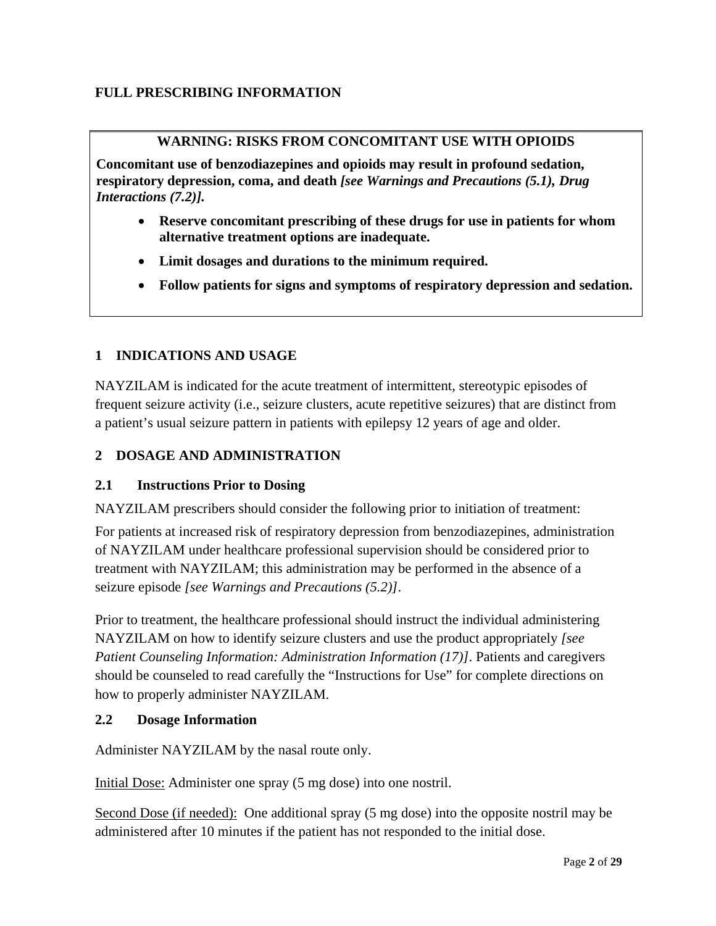## **FULL PRESCRIBING INFORMATION**

## **WARNING: RISKS FROM CONCOMITANT USE WITH OPIOIDS**

**Concomitant use of benzodiazepines and opioids may result in profound sedation, respiratory depression, coma, and death** *[see Warnings and Precautions (5.1), Drug Interactions (7.2)].*

- **Reserve concomitant prescribing of these drugs for use in patients for whom alternative treatment options are inadequate.**
- **Limit dosages and durations to the minimum required.**
- **Follow patients for signs and symptoms of respiratory depression and sedation.**

## **1 INDICATIONS AND USAGE**

NAYZILAM is indicated for the acute treatment of intermittent, stereotypic episodes of frequent seizure activity (i.e., seizure clusters, acute repetitive seizures) that are distinct from a patient's usual seizure pattern in patients with epilepsy 12 years of age and older.

## **2 DOSAGE AND ADMINISTRATION**

## **2.1 Instructions Prior to Dosing**

NAYZILAM prescribers should consider the following prior to initiation of treatment:

For patients at increased risk of respiratory depression from benzodiazepines, administration of NAYZILAM under healthcare professional supervision should be considered prior to treatment with NAYZILAM; this administration may be performed in the absence of a seizure episode *[see Warnings and Precautions (5.2)]*.

Prior to treatment, the healthcare professional should instruct the individual administering NAYZILAM on how to identify seizure clusters and use the product appropriately *[see Patient Counseling Information: Administration Information (17)]*. Patients and caregivers should be counseled to read carefully the "Instructions for Use" for complete directions on how to properly administer NAYZILAM.

## **2.2 Dosage Information**

Administer NAYZILAM by the nasal route only.

Initial Dose: Administer one spray (5 mg dose) into one nostril.

Second Dose (if needed): One additional spray (5 mg dose) into the opposite nostril may be administered after 10 minutes if the patient has not responded to the initial dose.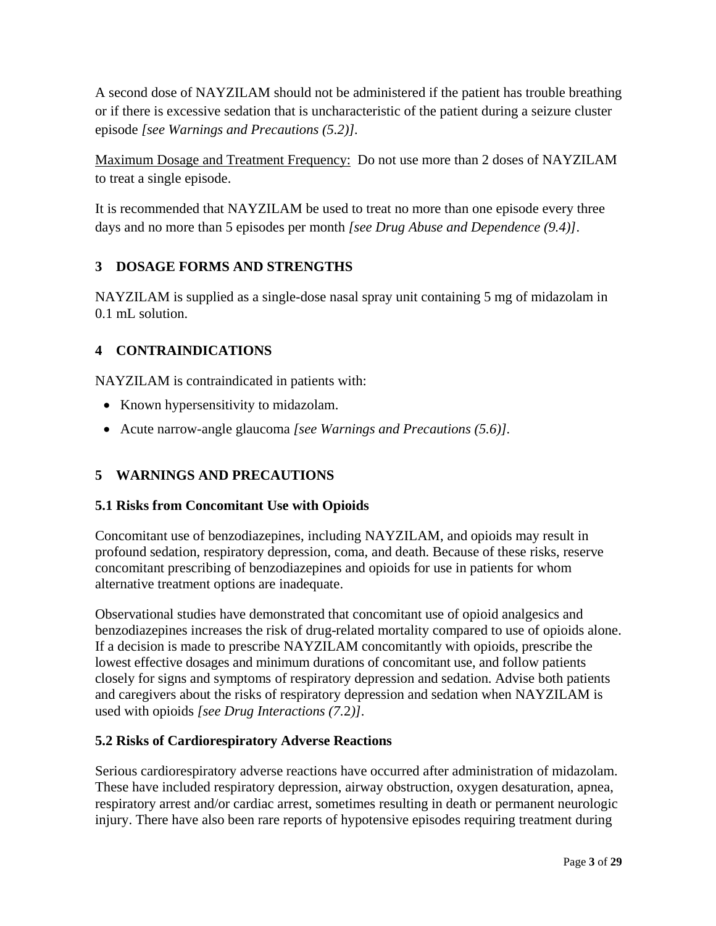A second dose of NAYZILAM should not be administered if the patient has trouble breathing or if there is excessive sedation that is uncharacteristic of the patient during a seizure cluster episode *[see Warnings and Precautions (5.2)].*

Maximum Dosage and Treatment Frequency: Do not use more than 2 doses of NAYZILAM to treat a single episode.

It is recommended that NAYZILAM be used to treat no more than one episode every three days and no more than 5 episodes per month *[see Drug Abuse and Dependence (9.4)]*.

## **3 DOSAGE FORMS AND STRENGTHS**

NAYZILAM is supplied as a single-dose nasal spray unit containing 5 mg of midazolam in 0.1 mL solution.

## **4 CONTRAINDICATIONS**

NAYZILAM is contraindicated in patients with:

- Known hypersensitivity to midazolam.
- Acute narrow-angle glaucoma *[see Warnings and Precautions (5.6)].*

## **5 WARNINGS AND PRECAUTIONS**

## **5.1 Risks from Concomitant Use with Opioids**

Concomitant use of benzodiazepines, including NAYZILAM, and opioids may result in profound sedation, respiratory depression, coma, and death. Because of these risks, reserve concomitant prescribing of benzodiazepines and opioids for use in patients for whom alternative treatment options are inadequate.

Observational studies have demonstrated that concomitant use of opioid analgesics and benzodiazepines increases the risk of drug-related mortality compared to use of opioids alone. If a decision is made to prescribe NAYZILAM concomitantly with opioids, prescribe the lowest effective dosages and minimum durations of concomitant use, and follow patients closely for signs and symptoms of respiratory depression and sedation. Advise both patients and caregivers about the risks of respiratory depression and sedation when NAYZILAM is used with opioids *[see Drug Interactions (7.*2*)]*.

## **5.2 Risks of Cardiorespiratory Adverse Reactions**

Serious cardiorespiratory adverse reactions have occurred after administration of midazolam. These have included respiratory depression, airway obstruction, oxygen desaturation, apnea, respiratory arrest and/or cardiac arrest, sometimes resulting in death or permanent neurologic injury. There have also been rare reports of hypotensive episodes requiring treatment during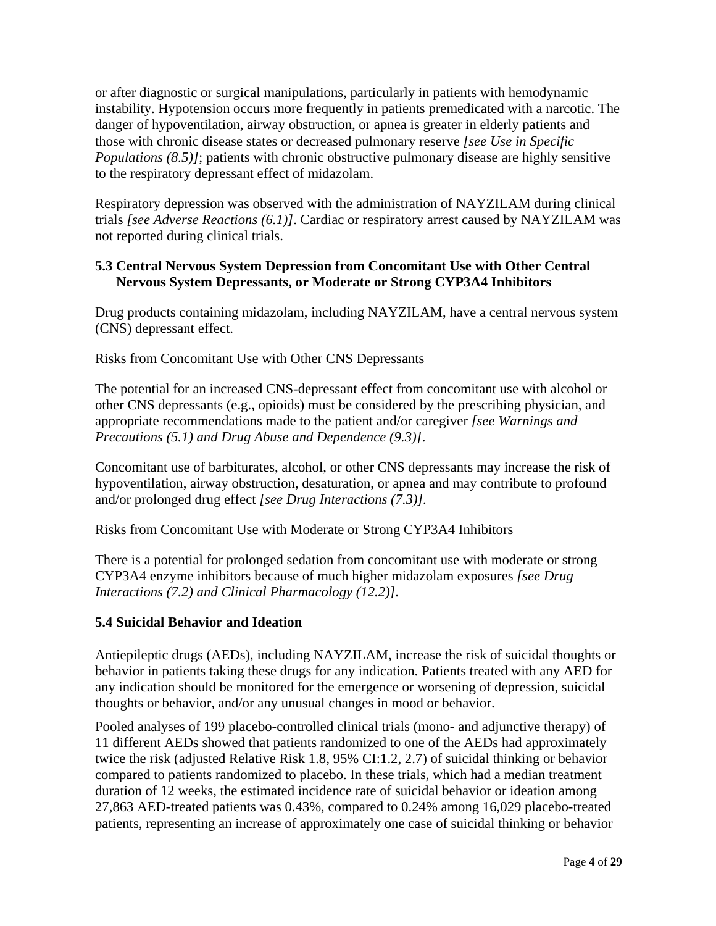or after diagnostic or surgical manipulations, particularly in patients with hemodynamic instability. Hypotension occurs more frequently in patients premedicated with a narcotic. The danger of hypoventilation, airway obstruction, or apnea is greater in elderly patients and those with chronic disease states or decreased pulmonary reserve *[see Use in Specific Populations (8.5)]*; patients with chronic obstructive pulmonary disease are highly sensitive to the respiratory depressant effect of midazolam.

Respiratory depression was observed with the administration of NAYZILAM during clinical trials *[see Adverse Reactions (6.1)]*. Cardiac or respiratory arrest caused by NAYZILAM was not reported during clinical trials.

## **5.3 Central Nervous System Depression from Concomitant Use with Other Central Nervous System Depressants, or Moderate or Strong CYP3A4 Inhibitors**

Drug products containing midazolam, including NAYZILAM, have a central nervous system (CNS) depressant effect.

## Risks from Concomitant Use with Other CNS Depressants

The potential for an increased CNS-depressant effect from concomitant use with alcohol or other CNS depressants (e.g., opioids) must be considered by the prescribing physician, and appropriate recommendations made to the patient and/or caregiver *[see Warnings and Precautions (5.1) and Drug Abuse and Dependence (9.3)]*.

Concomitant use of barbiturates, alcohol, or other CNS depressants may increase the risk of hypoventilation, airway obstruction, desaturation, or apnea and may contribute to profound and/or prolonged drug effect *[see Drug Interactions (7.3)].*

## Risks from Concomitant Use with Moderate or Strong CYP3A4 Inhibitors

There is a potential for prolonged sedation from concomitant use with moderate or strong CYP3A4 enzyme inhibitors because of much higher midazolam exposures *[see Drug Interactions (7.2) and Clinical Pharmacology (12.2)].*

## **5.4 Suicidal Behavior and Ideation**

Antiepileptic drugs (AEDs), including NAYZILAM, increase the risk of suicidal thoughts or behavior in patients taking these drugs for any indication. Patients treated with any AED for any indication should be monitored for the emergence or worsening of depression, suicidal thoughts or behavior, and/or any unusual changes in mood or behavior.

Pooled analyses of 199 placebo-controlled clinical trials (mono- and adjunctive therapy) of 11 different AEDs showed that patients randomized to one of the AEDs had approximately twice the risk (adjusted Relative Risk 1.8, 95% CI:1.2, 2.7) of suicidal thinking or behavior compared to patients randomized to placebo. In these trials, which had a median treatment duration of 12 weeks, the estimated incidence rate of suicidal behavior or ideation among 27,863 AED-treated patients was 0.43%, compared to 0.24% among 16,029 placebo-treated patients, representing an increase of approximately one case of suicidal thinking or behavior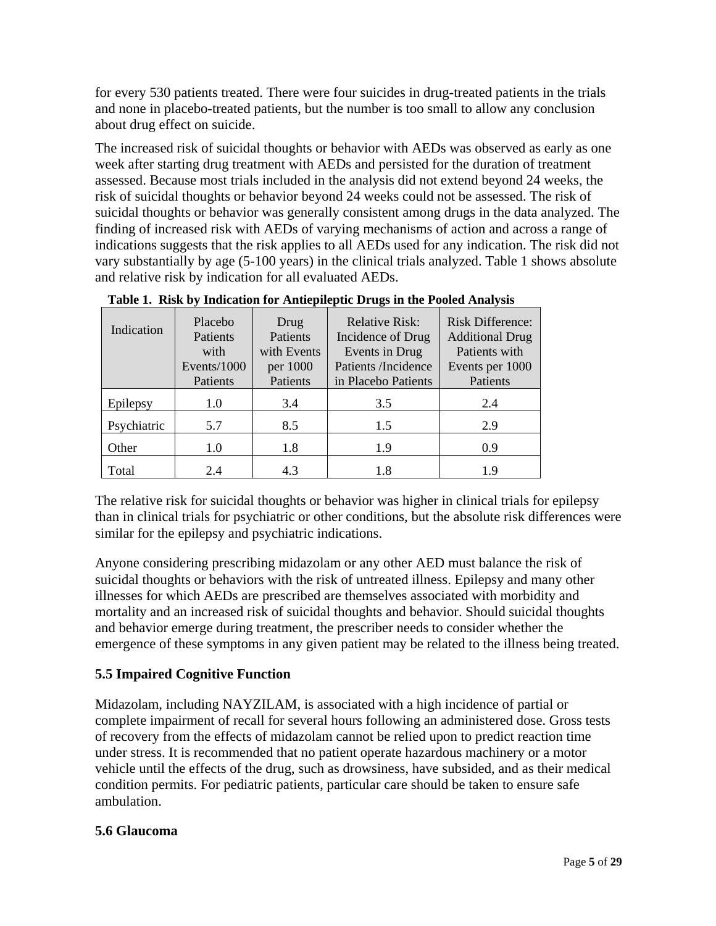for every 530 patients treated. There were four suicides in drug-treated patients in the trials and none in placebo-treated patients, but the number is too small to allow any conclusion about drug effect on suicide.

The increased risk of suicidal thoughts or behavior with AEDs was observed as early as one week after starting drug treatment with AEDs and persisted for the duration of treatment assessed. Because most trials included in the analysis did not extend beyond 24 weeks, the risk of suicidal thoughts or behavior beyond 24 weeks could not be assessed. The risk of suicidal thoughts or behavior was generally consistent among drugs in the data analyzed. The finding of increased risk with AEDs of varying mechanisms of action and across a range of indications suggests that the risk applies to all AEDs used for any indication. The risk did not vary substantially by age (5-100 years) in the clinical trials analyzed. Table 1 shows absolute and relative risk by indication for all evaluated AEDs.

| Indication  | Placebo<br>Patients<br>with<br>Events/1000<br>Patients | Drug<br>Patients<br>with Events<br>per 1000<br>Patients | -<br><b>Relative Risk:</b><br>Incidence of Drug<br>Events in Drug<br>Patients /Incidence<br>in Placebo Patients | <b>Risk Difference:</b><br><b>Additional Drug</b><br>Patients with<br>Events per 1000<br>Patients |
|-------------|--------------------------------------------------------|---------------------------------------------------------|-----------------------------------------------------------------------------------------------------------------|---------------------------------------------------------------------------------------------------|
| Epilepsy    | 1.0                                                    | 3.4                                                     | 3.5                                                                                                             | 2.4                                                                                               |
| Psychiatric | 5.7                                                    | 8.5                                                     | 1.5                                                                                                             | 2.9                                                                                               |
| Other       | 1.0                                                    | 1.8                                                     | 1.9                                                                                                             | 0.9                                                                                               |
| Total       | 2.4                                                    | 4.3                                                     | 1.8                                                                                                             | 19                                                                                                |

**Table 1. Risk by Indication for Antiepileptic Drugs in the Pooled Analysis**

The relative risk for suicidal thoughts or behavior was higher in clinical trials for epilepsy than in clinical trials for psychiatric or other conditions, but the absolute risk differences were similar for the epilepsy and psychiatric indications.

Anyone considering prescribing midazolam or any other AED must balance the risk of suicidal thoughts or behaviors with the risk of untreated illness. Epilepsy and many other illnesses for which AEDs are prescribed are themselves associated with morbidity and mortality and an increased risk of suicidal thoughts and behavior. Should suicidal thoughts and behavior emerge during treatment, the prescriber needs to consider whether the emergence of these symptoms in any given patient may be related to the illness being treated.

# **5.5 Impaired Cognitive Function**

Midazolam, including NAYZILAM, is associated with a high incidence of partial or complete impairment of recall for several hours following an administered dose. Gross tests of recovery from the effects of midazolam cannot be relied upon to predict reaction time under stress. It is recommended that no patient operate hazardous machinery or a motor vehicle until the effects of the drug, such as drowsiness, have subsided, and as their medical condition permits. For pediatric patients, particular care should be taken to ensure safe ambulation.

# **5.6 Glaucoma**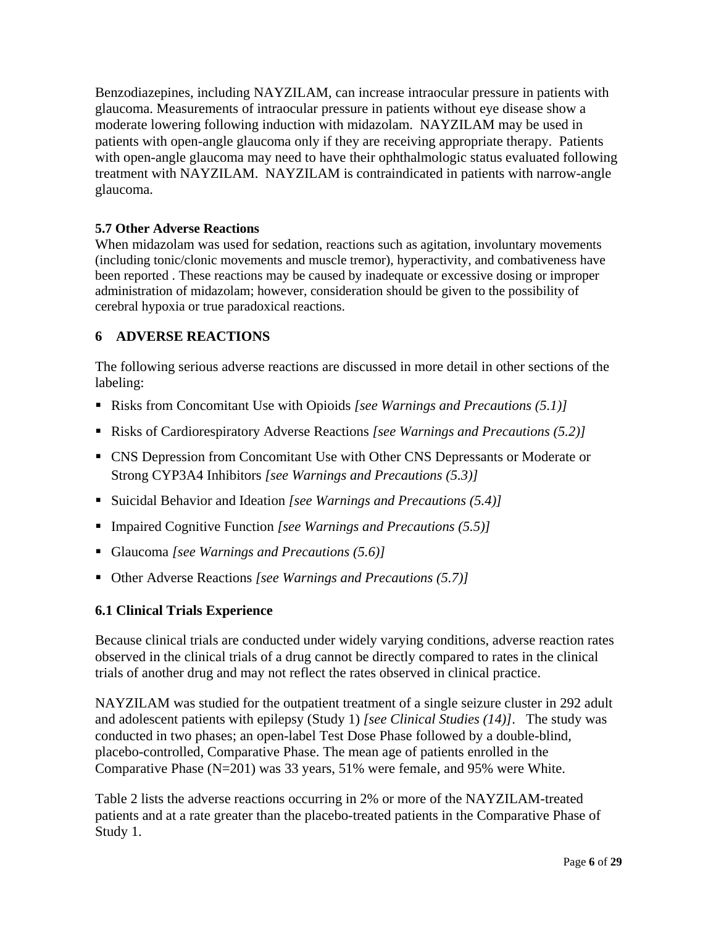Benzodiazepines, including NAYZILAM, can increase intraocular pressure in patients with glaucoma. Measurements of intraocular pressure in patients without eye disease show a moderate lowering following induction with midazolam. NAYZILAM may be used in patients with open-angle glaucoma only if they are receiving appropriate therapy. Patients with open-angle glaucoma may need to have their ophthalmologic status evaluated following treatment with NAYZILAM. NAYZILAM is contraindicated in patients with narrow-angle glaucoma.

## **5.7 Other Adverse Reactions**

When midazolam was used for sedation, reactions such as agitation, involuntary movements (including tonic/clonic movements and muscle tremor), hyperactivity, and combativeness have been reported . These reactions may be caused by inadequate or excessive dosing or improper administration of midazolam; however, consideration should be given to the possibility of cerebral hypoxia or true paradoxical reactions.

## **6 ADVERSE REACTIONS**

The following serious adverse reactions are discussed in more detail in other sections of the labeling:

- Risks from Concomitant Use with Opioids *[see Warnings and Precautions (5.1)]*
- Risks of Cardiorespiratory Adverse Reactions *[see Warnings and Precautions (5.2)]*
- CNS Depression from Concomitant Use with Other CNS Depressants or Moderate or Strong CYP3A4 Inhibitors *[see Warnings and Precautions (5.3)]*
- Suicidal Behavior and Ideation *[see Warnings and Precautions (5.4)]*
- Impaired Cognitive Function *[see Warnings and Precautions (5.5)]*
- Glaucoma *[see Warnings and Precautions (5.6)]*
- Other Adverse Reactions *[see Warnings and Precautions (5.7)]*

## **6.1 Clinical Trials Experience**

Because clinical trials are conducted under widely varying conditions, adverse reaction rates observed in the clinical trials of a drug cannot be directly compared to rates in the clinical trials of another drug and may not reflect the rates observed in clinical practice.

NAYZILAM was studied for the outpatient treatment of a single seizure cluster in 292 adult and adolescent patients with epilepsy (Study 1) *[see Clinical Studies (14)]*. The study was conducted in two phases; an open-label Test Dose Phase followed by a double-blind, placebo-controlled, Comparative Phase. The mean age of patients enrolled in the Comparative Phase (N=201) was 33 years, 51% were female, and 95% were White.

Table 2 lists the adverse reactions occurring in 2% or more of the NAYZILAM-treated patients and at a rate greater than the placebo-treated patients in the Comparative Phase of Study 1.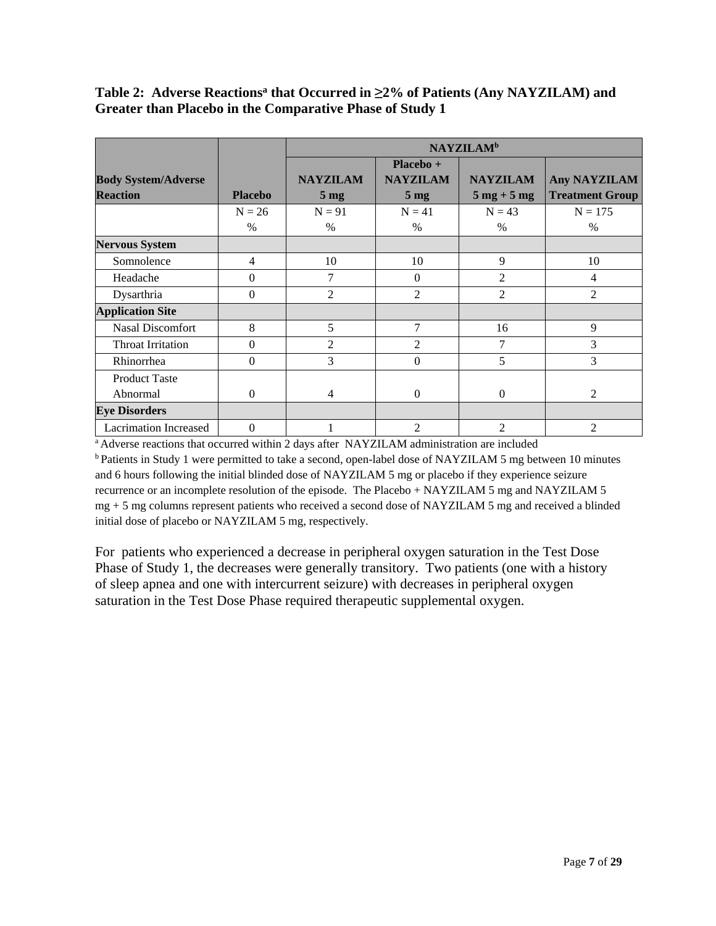## **Table 2: Adverse Reactionsa that Occurred in ≥2% of Patients (Any NAYZILAM) and Greater than Placebo in the Comparative Phase of Study 1**

|                              |                | <b>NAYZILAM</b> <sup>b</sup> |                 |                               |                        |
|------------------------------|----------------|------------------------------|-----------------|-------------------------------|------------------------|
|                              |                |                              | Placebo +       |                               |                        |
| <b>Body System/Adverse</b>   |                | <b>NAYZILAM</b>              | <b>NAYZILAM</b> | <b>NAYZILAM</b>               | Any NAYZILAM           |
| <b>Reaction</b>              | <b>Placebo</b> | 5 <sub>mg</sub>              | 5 <sub>mg</sub> | $5 \text{ mg} + 5 \text{ mg}$ | <b>Treatment Group</b> |
|                              | $N = 26$       | $N = 91$                     | $N = 41$        | $N = 43$                      | $N = 175$              |
|                              | $\%$           | $\%$                         | $\%$            | $\frac{0}{0}$                 | $\%$                   |
| <b>Nervous System</b>        |                |                              |                 |                               |                        |
| Somnolence                   | 4              | 10                           | 10              | 9                             | 10                     |
| Headache                     | $\Omega$       | 7                            | $\Omega$        | $\overline{2}$                | 4                      |
| Dysarthria                   | $\Omega$       | 2                            | 2               | $\overline{2}$                | 2                      |
| <b>Application Site</b>      |                |                              |                 |                               |                        |
| <b>Nasal Discomfort</b>      | 8              | 5                            | 7               | 16                            | 9                      |
| Throat Irritation            | $\Omega$       | $\overline{2}$               | $\overline{2}$  | 7                             | 3                      |
| Rhinorrhea                   | $\Omega$       | 3                            | $\Omega$        | 5                             | 3                      |
| <b>Product Taste</b>         |                |                              |                 |                               |                        |
| Abnormal                     | $\Omega$       | $\overline{4}$               | $\mathbf{0}$    | $\Omega$                      | 2                      |
| <b>Eye Disorders</b>         |                |                              |                 |                               |                        |
| <b>Lacrimation Increased</b> | $\Omega$       |                              | 2               | $\overline{2}$                | $\overline{2}$         |

<sup>a</sup> Adverse reactions that occurred within 2 days after NAYZILAM administration are included b Patients in Study 1 were permitted to take a second, open-label dose of NAYZILAM 5 mg between 10 minutes and 6 hours following the initial blinded dose of NAYZILAM 5 mg or placebo if they experience seizure recurrence or an incomplete resolution of the episode. The Placebo + NAYZILAM 5 mg and NAYZILAM 5 mg + 5 mg columns represent patients who received a second dose of NAYZILAM 5 mg and received a blinded initial dose of placebo or NAYZILAM 5 mg, respectively.

For patients who experienced a decrease in peripheral oxygen saturation in the Test Dose Phase of Study 1, the decreases were generally transitory. Two patients (one with a history of sleep apnea and one with intercurrent seizure) with decreases in peripheral oxygen saturation in the Test Dose Phase required therapeutic supplemental oxygen.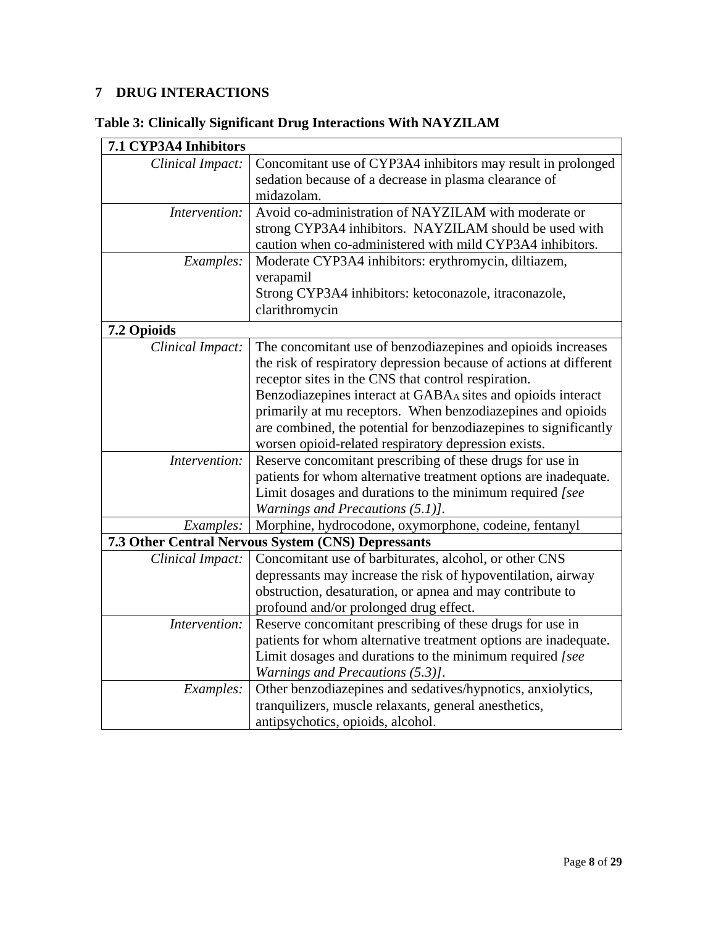# **7 DRUG INTERACTIONS**

# **Table 3: Clinically Significant Drug Interactions With NAYZILAM**

| 7.1 CYP3A4 Inhibitors |                                                                    |
|-----------------------|--------------------------------------------------------------------|
| Clinical Impact:      | Concomitant use of CYP3A4 inhibitors may result in prolonged       |
|                       | sedation because of a decrease in plasma clearance of              |
|                       | midazolam.                                                         |
| Intervention:         | Avoid co-administration of NAYZILAM with moderate or               |
|                       | strong CYP3A4 inhibitors. NAYZILAM should be used with             |
|                       | caution when co-administered with mild CYP3A4 inhibitors.          |
| Examples:             | Moderate CYP3A4 inhibitors: erythromycin, diltiazem,               |
|                       | verapamil                                                          |
|                       | Strong CYP3A4 inhibitors: ketoconazole, itraconazole,              |
|                       | clarithromycin                                                     |
| 7.2 Opioids           |                                                                    |
| Clinical Impact:      | The concomitant use of benzodiazepines and opioids increases       |
|                       | the risk of respiratory depression because of actions at different |
|                       | receptor sites in the CNS that control respiration.                |
|                       | Benzodiazepines interact at GABAA sites and opioids interact       |
|                       | primarily at mu receptors. When benzodiazepines and opioids        |
|                       | are combined, the potential for benzodiazepines to significantly   |
|                       | worsen opioid-related respiratory depression exists.               |
| Intervention:         | Reserve concomitant prescribing of these drugs for use in          |
|                       | patients for whom alternative treatment options are inadequate.    |
|                       | Limit dosages and durations to the minimum required [see           |
|                       | Warnings and Precautions (5.1)].                                   |
| Examples:             | Morphine, hydrocodone, oxymorphone, codeine, fentanyl              |
|                       | 7.3 Other Central Nervous System (CNS) Depressants                 |
| Clinical Impact:      | Concomitant use of barbiturates, alcohol, or other CNS             |
|                       | depressants may increase the risk of hypoventilation, airway       |
|                       | obstruction, desaturation, or apnea and may contribute to          |
|                       | profound and/or prolonged drug effect.                             |
| Intervention:         | Reserve concomitant prescribing of these drugs for use in          |
|                       | patients for whom alternative treatment options are inadequate.    |
|                       | Limit dosages and durations to the minimum required [see           |
|                       | Warnings and Precautions (5.3)].                                   |
| Examples:             | Other benzodiazepines and sedatives/hypnotics, anxiolytics,        |
|                       | tranquilizers, muscle relaxants, general anesthetics,              |
|                       | antipsychotics, opioids, alcohol.                                  |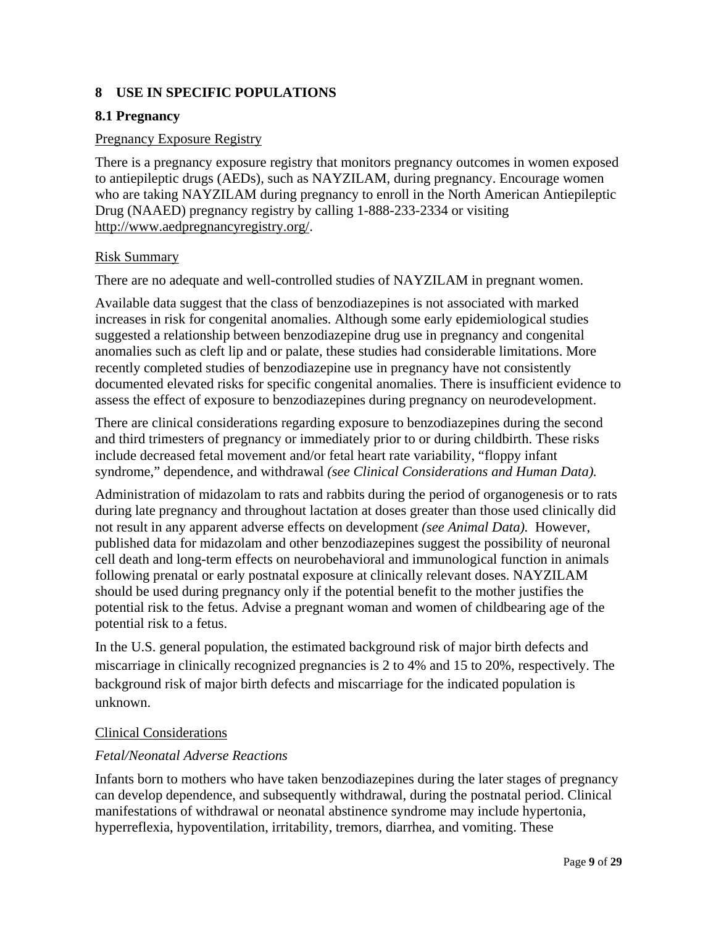## **8 USE IN SPECIFIC POPULATIONS**

## **8.1 Pregnancy**

#### Pregnancy Exposure Registry

There is a pregnancy exposure registry that monitors pregnancy outcomes in women exposed to antiepileptic drugs (AEDs), such as NAYZILAM, during pregnancy. Encourage women who are taking NAYZILAM during pregnancy to enroll in the North American Antiepileptic Drug (NAAED) pregnancy registry by calling 1-888-233-2334 or visiting [http://www.aedpregnancyregistry.org/.](http://www.aedpregnancyregistry.org/)

#### Risk Summary

There are no adequate and well-controlled studies of NAYZILAM in pregnant women.

Available data suggest that the class of benzodiazepines is not associated with marked increases in risk for congenital anomalies. Although some early epidemiological studies suggested a relationship between benzodiazepine drug use in pregnancy and congenital anomalies such as cleft lip and or palate, these studies had considerable limitations. More recently completed studies of benzodiazepine use in pregnancy have not consistently documented elevated risks for specific congenital anomalies. There is insufficient evidence to assess the effect of exposure to benzodiazepines during pregnancy on neurodevelopment.

There are clinical considerations regarding exposure to benzodiazepines during the second and third trimesters of pregnancy or immediately prior to or during childbirth. These risks include decreased fetal movement and/or fetal heart rate variability, "floppy infant syndrome," dependence, and withdrawal *(see Clinical Considerations and Human Data).*

Administration of midazolam to rats and rabbits during the period of organogenesis or to rats during late pregnancy and throughout lactation at doses greater than those used clinically did not result in any apparent adverse effects on development *(see Animal Data).* However, published data for midazolam and other benzodiazepines suggest the possibility of neuronal cell death and long-term effects on neurobehavioral and immunological function in animals following prenatal or early postnatal exposure at clinically relevant doses. NAYZILAM should be used during pregnancy only if the potential benefit to the mother justifies the potential risk to the fetus. Advise a pregnant woman and women of childbearing age of the potential risk to a fetus.

In the U.S. general population, the estimated background risk of major birth defects and miscarriage in clinically recognized pregnancies is 2 to 4% and 15 to 20%, respectively. The background risk of major birth defects and miscarriage for the indicated population is unknown.

## Clinical Considerations

## *Fetal/Neonatal Adverse Reactions*

Infants born to mothers who have taken benzodiazepines during the later stages of pregnancy can develop dependence, and subsequently withdrawal, during the postnatal period. Clinical manifestations of withdrawal or neonatal abstinence syndrome may include hypertonia, hyperreflexia, hypoventilation, irritability, tremors, diarrhea, and vomiting. These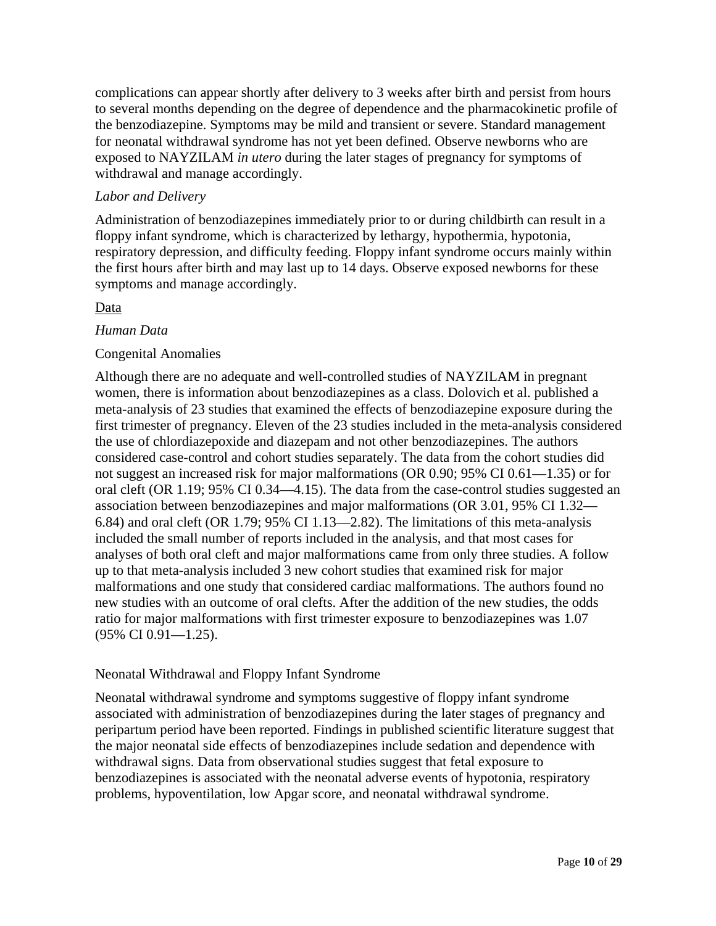complications can appear shortly after delivery to 3 weeks after birth and persist from hours to several months depending on the degree of dependence and the pharmacokinetic profile of the benzodiazepine. Symptoms may be mild and transient or severe. Standard management for neonatal withdrawal syndrome has not yet been defined. Observe newborns who are exposed to NAYZILAM *in utero* during the later stages of pregnancy for symptoms of withdrawal and manage accordingly.

## *Labor and Delivery*

Administration of benzodiazepines immediately prior to or during childbirth can result in a floppy infant syndrome, which is characterized by lethargy, hypothermia, hypotonia, respiratory depression, and difficulty feeding. Floppy infant syndrome occurs mainly within the first hours after birth and may last up to 14 days. Observe exposed newborns for these symptoms and manage accordingly.

## Data

## *Human Data*

## Congenital Anomalies

Although there are no adequate and well-controlled studies of NAYZILAM in pregnant women, there is information about benzodiazepines as a class. Dolovich et al. published a meta-analysis of 23 studies that examined the effects of benzodiazepine exposure during the first trimester of pregnancy. Eleven of the 23 studies included in the meta-analysis considered the use of chlordiazepoxide and diazepam and not other benzodiazepines. The authors considered case-control and cohort studies separately. The data from the cohort studies did not suggest an increased risk for major malformations (OR 0.90; 95% CI 0.61—1.35) or for oral cleft (OR 1.19; 95% CI 0.34—4.15). The data from the case-control studies suggested an association between benzodiazepines and major malformations (OR 3.01, 95% CI 1.32— 6.84) and oral cleft (OR 1.79; 95% CI 1.13—2.82). The limitations of this meta-analysis included the small number of reports included in the analysis, and that most cases for analyses of both oral cleft and major malformations came from only three studies. A follow up to that meta-analysis included 3 new cohort studies that examined risk for major malformations and one study that considered cardiac malformations. The authors found no new studies with an outcome of oral clefts. After the addition of the new studies, the odds ratio for major malformations with first trimester exposure to benzodiazepines was 1.07 (95% CI 0.91—1.25).

## Neonatal Withdrawal and Floppy Infant Syndrome

Neonatal withdrawal syndrome and symptoms suggestive of floppy infant syndrome associated with administration of benzodiazepines during the later stages of pregnancy and peripartum period have been reported. Findings in published scientific literature suggest that the major neonatal side effects of benzodiazepines include sedation and dependence with withdrawal signs. Data from observational studies suggest that fetal exposure to benzodiazepines is associated with the neonatal adverse events of hypotonia, respiratory problems, hypoventilation, low Apgar score, and neonatal withdrawal syndrome.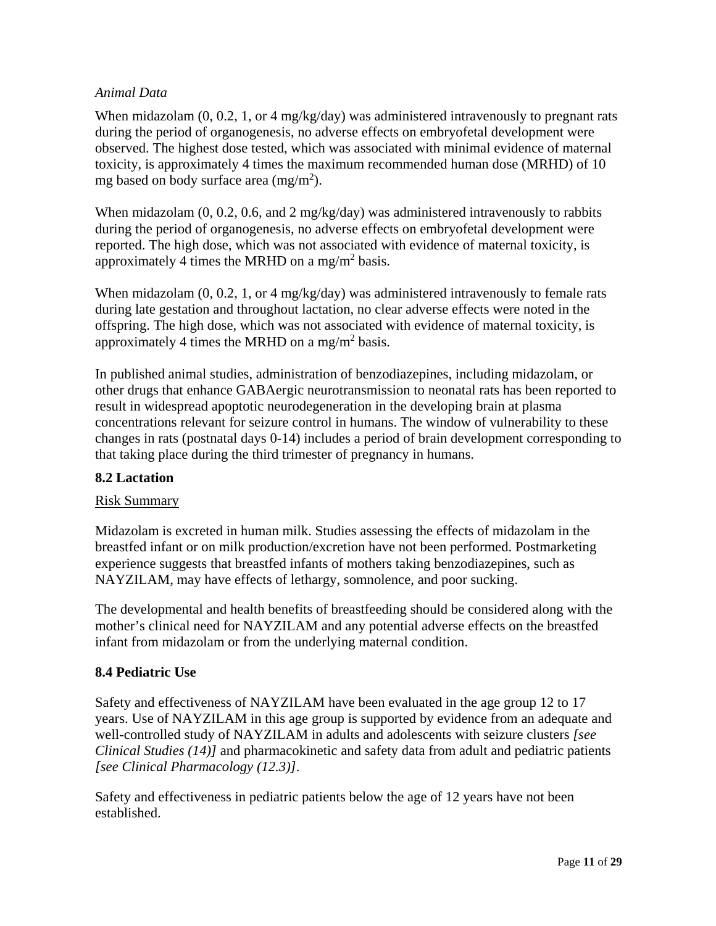## *Animal Data*

When midazolam (0, 0.2, 1, or 4 mg/kg/day) was administered intravenously to pregnant rats during the period of organogenesis, no adverse effects on embryofetal development were observed. The highest dose tested, which was associated with minimal evidence of maternal toxicity, is approximately 4 times the maximum recommended human dose (MRHD) of 10 mg based on body surface area  $(mg/m<sup>2</sup>)$ .

When midazolam  $(0, 0.2, 0.6,$  and  $2 \text{ mg/kg/day})$  was administered intravenously to rabbits during the period of organogenesis, no adverse effects on embryofetal development were reported. The high dose, which was not associated with evidence of maternal toxicity, is approximately 4 times the MRHD on a mg/m<sup>2</sup> basis.

When midazolam  $(0, 0.2, 1, \text{ or } 4 \text{ mg/kg/day})$  was administered intravenously to female rats during late gestation and throughout lactation, no clear adverse effects were noted in the offspring. The high dose, which was not associated with evidence of maternal toxicity, is approximately 4 times the MRHD on a mg/m<sup>2</sup> basis.

In published animal studies, administration of benzodiazepines, including midazolam, or other drugs that enhance GABAergic neurotransmission to neonatal rats has been reported to result in widespread apoptotic neurodegeneration in the developing brain at plasma concentrations relevant for seizure control in humans. The window of vulnerability to these changes in rats (postnatal days 0-14) includes a period of brain development corresponding to that taking place during the third trimester of pregnancy in humans.

## **8.2 Lactation**

## Risk Summary

Midazolam is excreted in human milk. Studies assessing the effects of midazolam in the breastfed infant or on milk production/excretion have not been performed. Postmarketing experience suggests that breastfed infants of mothers taking benzodiazepines, such as NAYZILAM, may have effects of lethargy, somnolence, and poor sucking.

The developmental and health benefits of breastfeeding should be considered along with the mother's clinical need for NAYZILAM and any potential adverse effects on the breastfed infant from midazolam or from the underlying maternal condition.

## **8.4 Pediatric Use**

Safety and effectiveness of NAYZILAM have been evaluated in the age group 12 to 17 years. Use of NAYZILAM in this age group is supported by evidence from an adequate and well-controlled study of NAYZILAM in adults and adolescents with seizure clusters *[see Clinical Studies (14)]* and pharmacokinetic and safety data from adult and pediatric patients *[see Clinical Pharmacology (12.3)]*.

Safety and effectiveness in pediatric patients below the age of 12 years have not been established.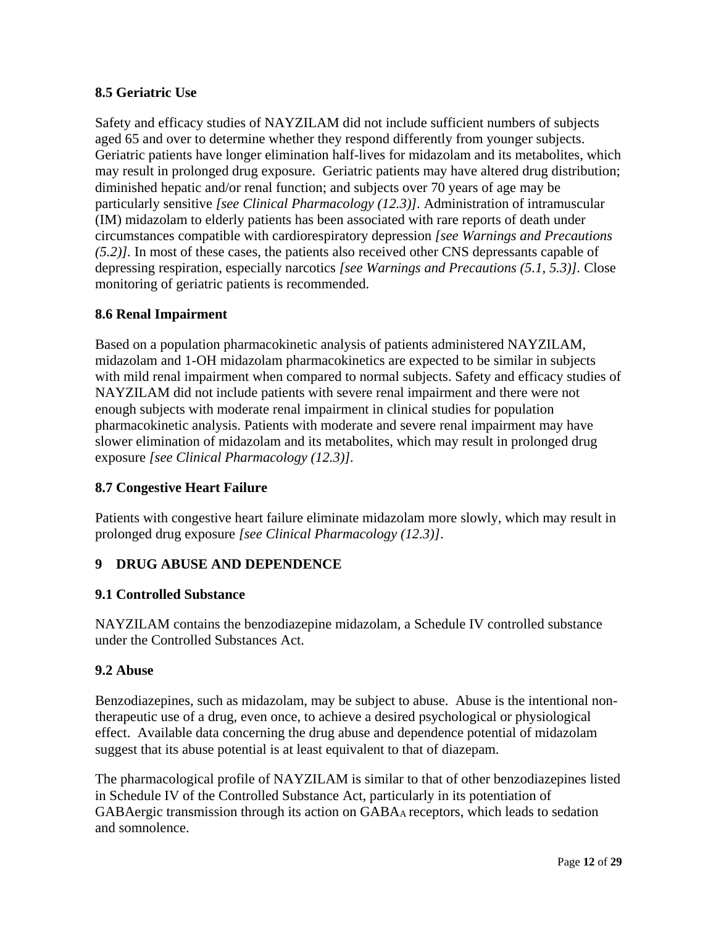## **8.5 Geriatric Use**

Safety and efficacy studies of NAYZILAM did not include sufficient numbers of subjects aged 65 and over to determine whether they respond differently from younger subjects. Geriatric patients have longer elimination half-lives for midazolam and its metabolites, which may result in prolonged drug exposure. Geriatric patients may have altered drug distribution; diminished hepatic and/or renal function; and subjects over 70 years of age may be particularly sensitive *[see Clinical Pharmacology (12.3)].* Administration of intramuscular (IM) midazolam to elderly patients has been associated with rare reports of death under circumstances compatible with cardiorespiratory depression *[see Warnings and Precautions (5.2)].* In most of these cases, the patients also received other CNS depressants capable of depressing respiration, especially narcotics *[see Warnings and Precautions (5.1, 5.3)].* Close monitoring of geriatric patients is recommended.

## **8.6 Renal Impairment**

Based on a population pharmacokinetic analysis of patients administered NAYZILAM, midazolam and 1-OH midazolam pharmacokinetics are expected to be similar in subjects with mild renal impairment when compared to normal subjects. Safety and efficacy studies of NAYZILAM did not include patients with severe renal impairment and there were not enough subjects with moderate renal impairment in clinical studies for population pharmacokinetic analysis. Patients with moderate and severe renal impairment may have slower elimination of midazolam and its metabolites, which may result in prolonged drug exposure *[see Clinical Pharmacology (12.3)].*

## **8.7 Congestive Heart Failure**

Patients with congestive heart failure eliminate midazolam more slowly, which may result in prolonged drug exposure *[see Clinical Pharmacology (12.3)]*.

## **9 DRUG ABUSE AND DEPENDENCE**

## **9.1 Controlled Substance**

NAYZILAM contains the benzodiazepine midazolam, a Schedule IV controlled substance under the Controlled Substances Act.

## **9.2 Abuse**

Benzodiazepines, such as midazolam, may be subject to abuse. Abuse is the intentional nontherapeutic use of a drug, even once, to achieve a desired psychological or physiological effect. Available data concerning the drug abuse and dependence potential of midazolam suggest that its abuse potential is at least equivalent to that of diazepam.

The pharmacological profile of NAYZILAM is similar to that of other benzodiazepines listed in Schedule IV of the Controlled Substance Act, particularly in its potentiation of GABAergic transmission through its action on GABAA receptors, which leads to sedation and somnolence.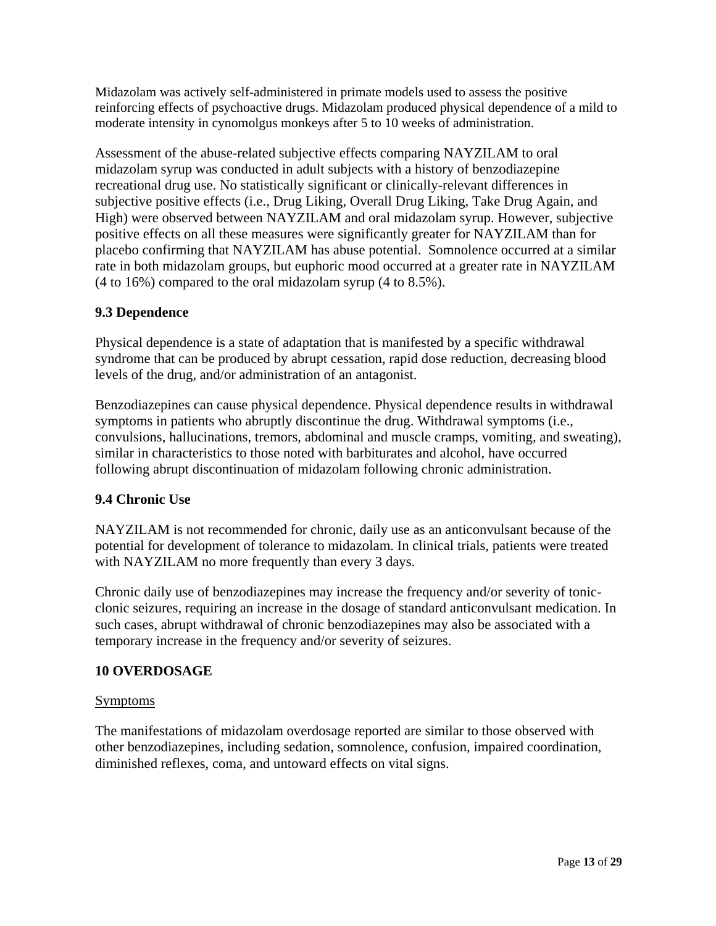Midazolam was actively self-administered in primate models used to assess the positive reinforcing effects of psychoactive drugs. Midazolam produced physical dependence of a mild to moderate intensity in cynomolgus monkeys after 5 to 10 weeks of administration.

Assessment of the abuse-related subjective effects comparing NAYZILAM to oral midazolam syrup was conducted in adult subjects with a history of benzodiazepine recreational drug use. No statistically significant or clinically-relevant differences in subjective positive effects (i.e., Drug Liking, Overall Drug Liking, Take Drug Again, and High) were observed between NAYZILAM and oral midazolam syrup. However, subjective positive effects on all these measures were significantly greater for NAYZILAM than for placebo confirming that NAYZILAM has abuse potential. Somnolence occurred at a similar rate in both midazolam groups, but euphoric mood occurred at a greater rate in NAYZILAM (4 to 16%) compared to the oral midazolam syrup (4 to 8.5%).

## **9.3 Dependence**

Physical dependence is a state of adaptation that is manifested by a specific withdrawal syndrome that can be produced by abrupt cessation, rapid dose reduction, decreasing blood levels of the drug, and/or administration of an antagonist.

Benzodiazepines can cause physical dependence. Physical dependence results in withdrawal symptoms in patients who abruptly discontinue the drug. Withdrawal symptoms (i.e., convulsions, hallucinations, tremors, abdominal and muscle cramps, vomiting, and sweating), similar in characteristics to those noted with barbiturates and alcohol, have occurred following abrupt discontinuation of midazolam following chronic administration.

## **9.4 Chronic Use**

NAYZILAM is not recommended for chronic, daily use as an anticonvulsant because of the potential for development of tolerance to midazolam. In clinical trials, patients were treated with NAYZILAM no more frequently than every 3 days.

Chronic daily use of benzodiazepines may increase the frequency and/or severity of tonicclonic seizures, requiring an increase in the dosage of standard anticonvulsant medication. In such cases, abrupt withdrawal of chronic benzodiazepines may also be associated with a temporary increase in the frequency and/or severity of seizures.

## **10 OVERDOSAGE**

## Symptoms

The manifestations of midazolam overdosage reported are similar to those observed with other benzodiazepines, including sedation, somnolence, confusion, impaired coordination, diminished reflexes, coma, and untoward effects on vital signs.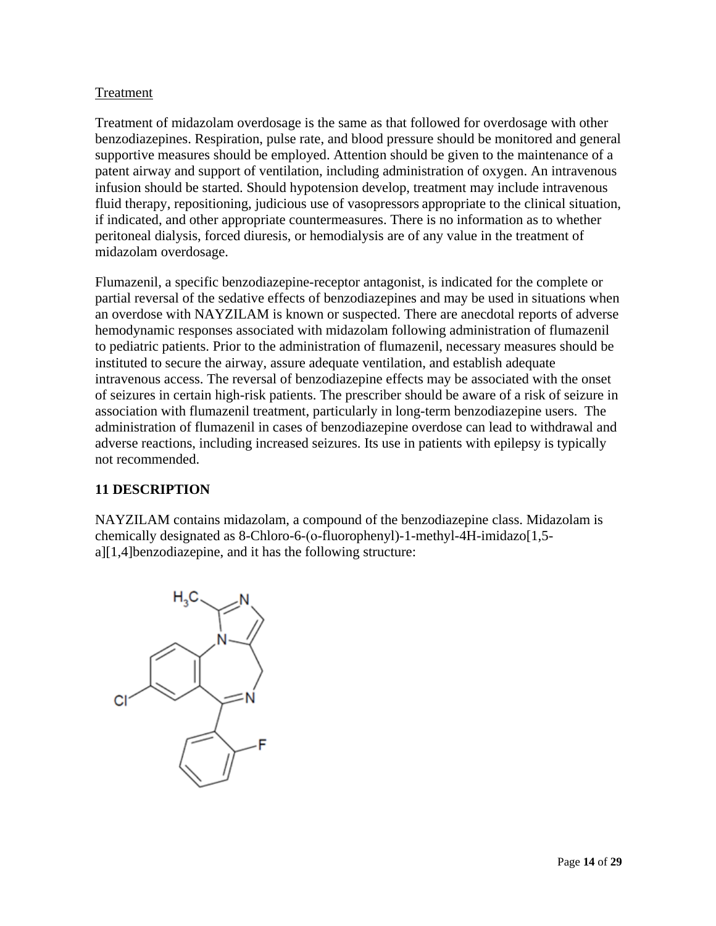## Treatment

Treatment of midazolam overdosage is the same as that followed for overdosage with other benzodiazepines. Respiration, pulse rate, and blood pressure should be monitored and general supportive measures should be employed. Attention should be given to the maintenance of a patent airway and support of ventilation, including administration of oxygen. An intravenous infusion should be started. Should hypotension develop, treatment may include intravenous fluid therapy, repositioning, judicious use of vasopressors appropriate to the clinical situation, if indicated, and other appropriate countermeasures. There is no information as to whether peritoneal dialysis, forced diuresis, or hemodialysis are of any value in the treatment of midazolam overdosage.

Flumazenil, a specific benzodiazepine-receptor antagonist, is indicated for the complete or partial reversal of the sedative effects of benzodiazepines and may be used in situations when an overdose with NAYZILAM is known or suspected. There are anecdotal reports of adverse hemodynamic responses associated with midazolam following administration of flumazenil to pediatric patients. Prior to the administration of flumazenil, necessary measures should be instituted to secure the airway, assure adequate ventilation, and establish adequate intravenous access. The reversal of benzodiazepine effects may be associated with the onset of seizures in certain high-risk patients. The prescriber should be aware of a risk of seizure in association with flumazenil treatment, particularly in long-term benzodiazepine users. The administration of flumazenil in cases of benzodiazepine overdose can lead to withdrawal and adverse reactions, including increased seizures. Its use in patients with epilepsy is typically not recommended.

## **11 DESCRIPTION**

NAYZILAM contains midazolam, a compound of the benzodiazepine class. Midazolam is chemically designated as 8-Chloro-6-(ο-fluorophenyl)-1-methyl-4H-imidazo[1,5 a][1,4]benzodiazepine, and it has the following structure:

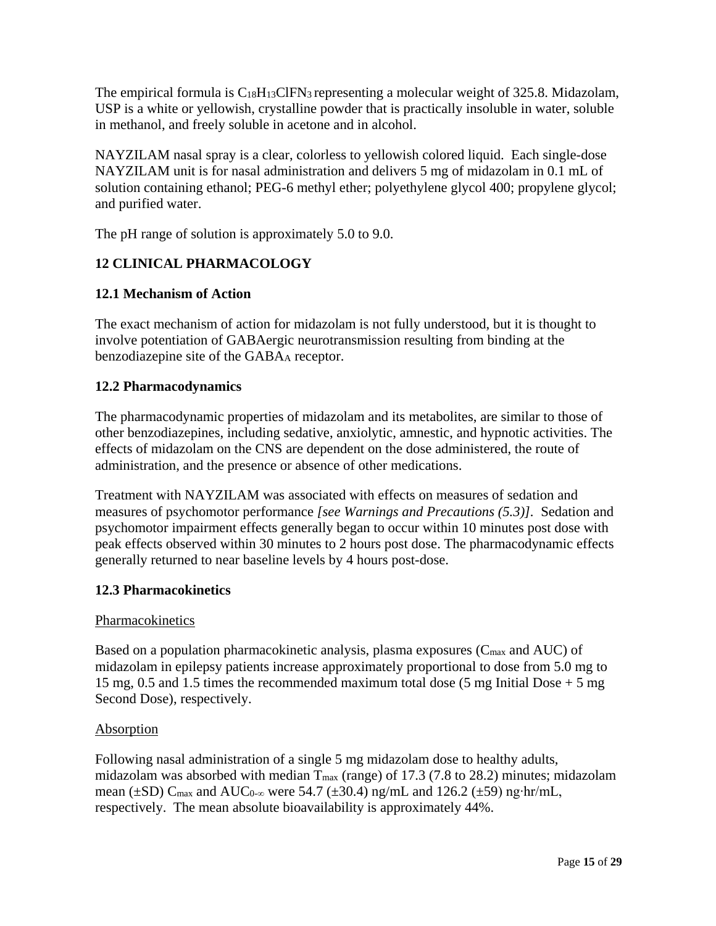The empirical formula is  $C_{18}H_{13}CIFN_3$  representing a molecular weight of 325.8. Midazolam, USP is a white or yellowish, crystalline powder that is practically insoluble in water, soluble in methanol, and freely soluble in acetone and in alcohol.

NAYZILAM nasal spray is a clear, colorless to yellowish colored liquid. Each single-dose NAYZILAM unit is for nasal administration and delivers 5 mg of midazolam in 0.1 mL of solution containing ethanol; PEG-6 methyl ether; polyethylene glycol 400; propylene glycol; and purified water.

The pH range of solution is approximately 5.0 to 9.0.

# **12 CLINICAL PHARMACOLOGY**

## **12.1 Mechanism of Action**

The exact mechanism of action for midazolam is not fully understood, but it is thought to involve potentiation of GABAergic neurotransmission resulting from binding at the benzodiazepine site of the GABAA receptor.

## **12.2 Pharmacodynamics**

The pharmacodynamic properties of midazolam and its metabolites, are similar to those of other benzodiazepines, including sedative, anxiolytic, amnestic, and hypnotic activities. The effects of midazolam on the CNS are dependent on the dose administered, the route of administration, and the presence or absence of other medications.

Treatment with NAYZILAM was associated with effects on measures of sedation and measures of psychomotor performance *[see Warnings and Precautions (5.3)].* Sedation and psychomotor impairment effects generally began to occur within 10 minutes post dose with peak effects observed within 30 minutes to 2 hours post dose. The pharmacodynamic effects generally returned to near baseline levels by 4 hours post-dose.

## **12.3 Pharmacokinetics**

## Pharmacokinetics

Based on a population pharmacokinetic analysis, plasma exposures ( $C_{\text{max}}$  and AUC) of midazolam in epilepsy patients increase approximately proportional to dose from 5.0 mg to 15 mg, 0.5 and 1.5 times the recommended maximum total dose (5 mg Initial Dose + 5 mg Second Dose), respectively.

## Absorption

Following nasal administration of a single 5 mg midazolam dose to healthy adults, midazolam was absorbed with median  $T_{\text{max}}$  (range) of 17.3 (7.8 to 28.2) minutes; midazolam mean (±SD) C<sub>max</sub> and AUC<sub>0-∞</sub> were 54.7 (±30.4) ng/mL and 126.2 (±59) ng⋅hr/mL, respectively. The mean absolute bioavailability is approximately 44%.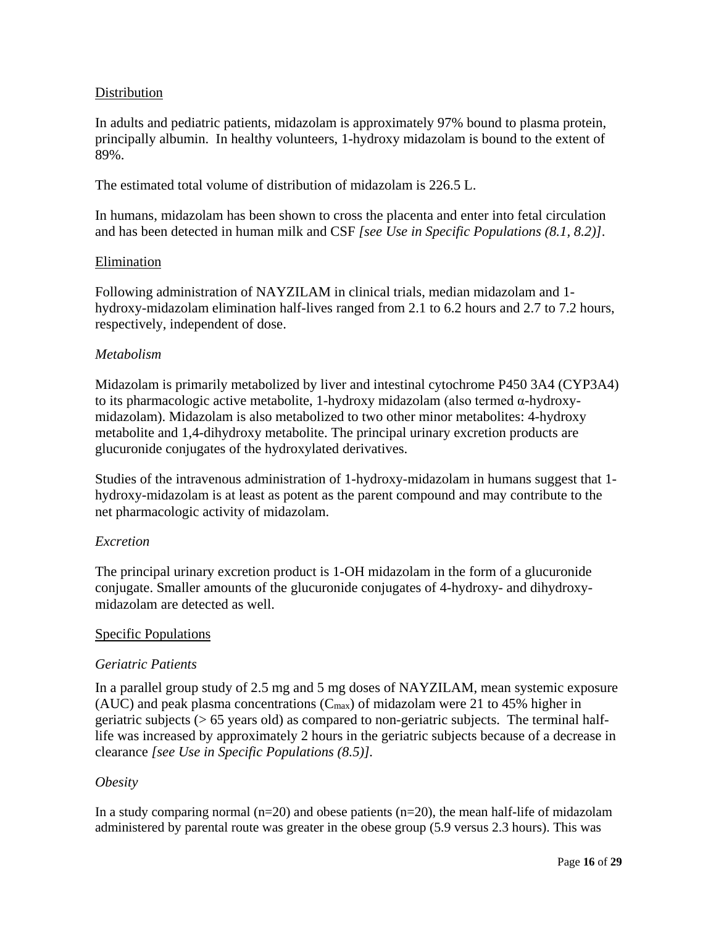## Distribution

In adults and pediatric patients, midazolam is approximately 97% bound to plasma protein, principally albumin. In healthy volunteers, 1-hydroxy midazolam is bound to the extent of 89%.

The estimated total volume of distribution of midazolam is 226.5 L.

In humans, midazolam has been shown to cross the placenta and enter into fetal circulation and has been detected in human milk and CSF *[see Use in Specific Populations (8.1, 8.2)]*.

#### Elimination

Following administration of NAYZILAM in clinical trials, median midazolam and 1 hydroxy-midazolam elimination half-lives ranged from 2.1 to 6.2 hours and 2.7 to 7.2 hours, respectively, independent of dose.

#### *Metabolism*

Midazolam is primarily metabolized by liver and intestinal cytochrome P450 3A4 (CYP3A4) to its pharmacologic active metabolite, 1-hydroxy midazolam (also termed α-hydroxymidazolam). Midazolam is also metabolized to two other minor metabolites: 4-hydroxy metabolite and 1,4-dihydroxy metabolite. The principal urinary excretion products are glucuronide conjugates of the hydroxylated derivatives.

Studies of the intravenous administration of 1-hydroxy-midazolam in humans suggest that 1 hydroxy-midazolam is at least as potent as the parent compound and may contribute to the net pharmacologic activity of midazolam.

## *Excretion*

The principal urinary excretion product is 1-OH midazolam in the form of a glucuronide conjugate. Smaller amounts of the glucuronide conjugates of 4-hydroxy- and dihydroxymidazolam are detected as well.

## Specific Populations

## *Geriatric Patients*

In a parallel group study of 2.5 mg and 5 mg doses of NAYZILAM, mean systemic exposure (AUC) and peak plasma concentrations  $(C_{\text{max}})$  of midazolam were 21 to 45% higher in geriatric subjects (> 65 years old) as compared to non-geriatric subjects. The terminal halflife was increased by approximately 2 hours in the geriatric subjects because of a decrease in clearance *[see Use in Specific Populations (8.5)].*

## *Obesity*

In a study comparing normal  $(n=20)$  and obese patients  $(n=20)$ , the mean half-life of midazolam administered by parental route was greater in the obese group (5.9 versus 2.3 hours). This was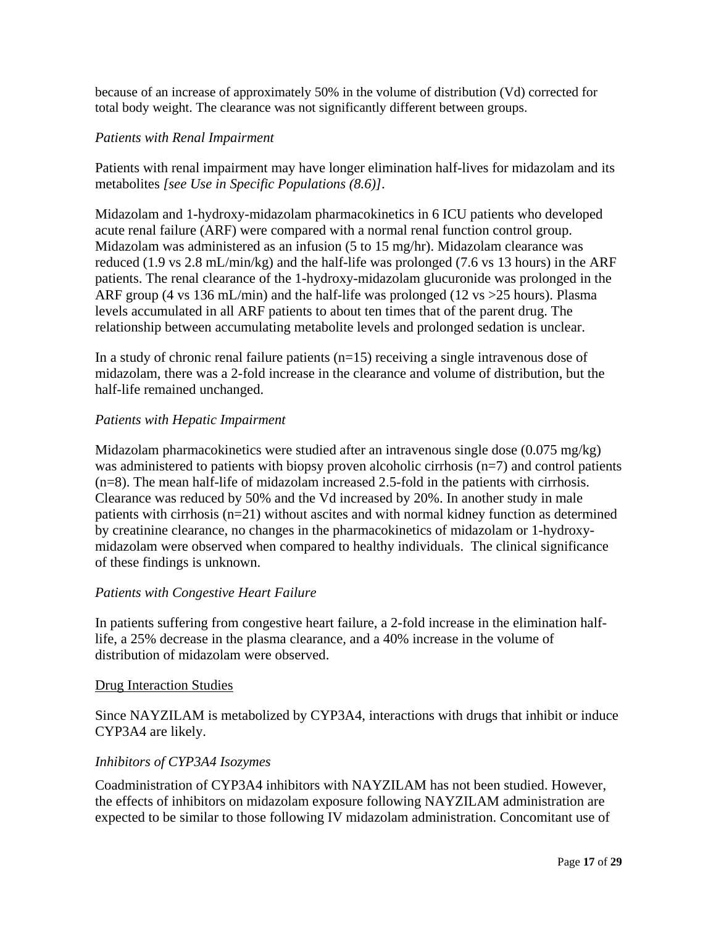because of an increase of approximately 50% in the volume of distribution (Vd) corrected for total body weight. The clearance was not significantly different between groups.

## *Patients with Renal Impairment*

Patients with renal impairment may have longer elimination half-lives for midazolam and its metabolites *[see Use in Specific Populations (8.6)]*.

Midazolam and 1-hydroxy-midazolam pharmacokinetics in 6 ICU patients who developed acute renal failure (ARF) were compared with a normal renal function control group. Midazolam was administered as an infusion (5 to 15 mg/hr). Midazolam clearance was reduced (1.9 vs 2.8 mL/min/kg) and the half-life was prolonged (7.6 vs 13 hours) in the ARF patients. The renal clearance of the 1-hydroxy-midazolam glucuronide was prolonged in the ARF group (4 vs 136 mL/min) and the half-life was prolonged (12 vs >25 hours). Plasma levels accumulated in all ARF patients to about ten times that of the parent drug. The relationship between accumulating metabolite levels and prolonged sedation is unclear.

In a study of chronic renal failure patients  $(n=15)$  receiving a single intravenous dose of midazolam, there was a 2-fold increase in the clearance and volume of distribution, but the half-life remained unchanged.

## *Patients with Hepatic Impairment*

Midazolam pharmacokinetics were studied after an intravenous single dose (0.075 mg/kg) was administered to patients with biopsy proven alcoholic cirrhosis (n=7) and control patients (n=8). The mean half-life of midazolam increased 2.5-fold in the patients with cirrhosis. Clearance was reduced by 50% and the Vd increased by 20%. In another study in male patients with cirrhosis (n=21) without ascites and with normal kidney function as determined by creatinine clearance, no changes in the pharmacokinetics of midazolam or 1-hydroxymidazolam were observed when compared to healthy individuals. The clinical significance of these findings is unknown.

## *Patients with Congestive Heart Failure*

In patients suffering from congestive heart failure, a 2-fold increase in the elimination halflife, a 25% decrease in the plasma clearance, and a 40% increase in the volume of distribution of midazolam were observed.

## Drug Interaction Studies

Since NAYZILAM is metabolized by CYP3A4, interactions with drugs that inhibit or induce CYP3A4 are likely.

## *Inhibitors of CYP3A4 Isozymes*

Coadministration of CYP3A4 inhibitors with NAYZILAM has not been studied. However, the effects of inhibitors on midazolam exposure following NAYZILAM administration are expected to be similar to those following IV midazolam administration. Concomitant use of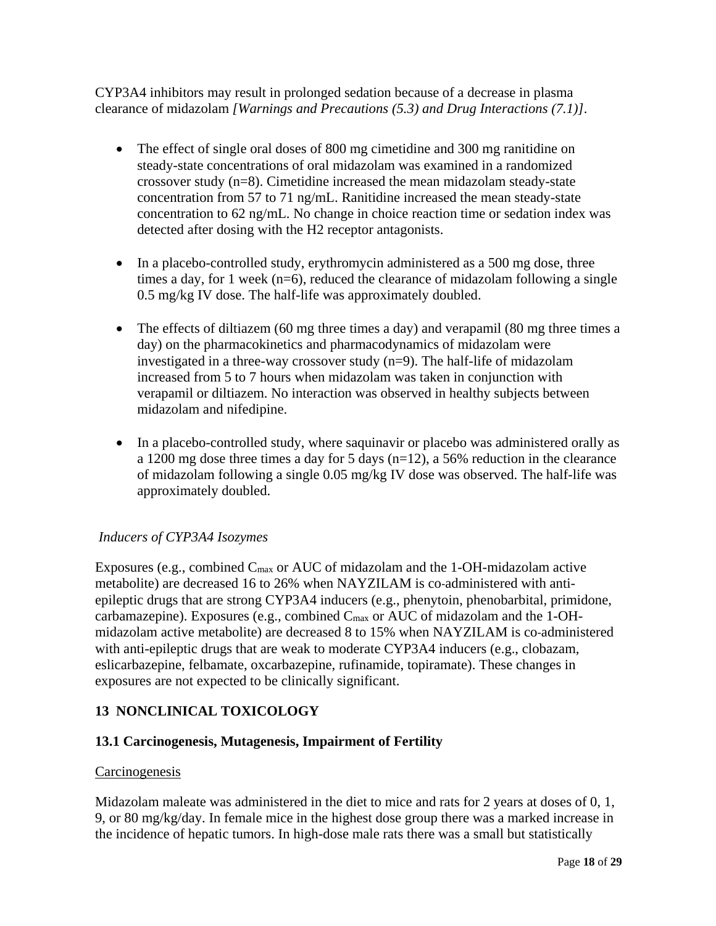CYP3A4 inhibitors may result in prolonged sedation because of a decrease in plasma clearance of midazolam *[Warnings and Precautions (5.3) and Drug Interactions (7.1)]*.

- The effect of single oral doses of 800 mg cimetidine and 300 mg ranitidine on steady-state concentrations of oral midazolam was examined in a randomized crossover study  $(n=8)$ . Cimetidine increased the mean midazolam steady-state concentration from 57 to 71 ng/mL. Ranitidine increased the mean steady-state concentration to 62 ng/mL. No change in choice reaction time or sedation index was detected after dosing with the H2 receptor antagonists.
- In a placebo-controlled study, erythromycin administered as a 500 mg dose, three times a day, for 1 week (n=6), reduced the clearance of midazolam following a single 0.5 mg/kg IV dose. The half-life was approximately doubled.
- The effects of diltiazem (60 mg three times a day) and verapamil (80 mg three times a day) on the pharmacokinetics and pharmacodynamics of midazolam were investigated in a three-way crossover study (n=9). The half-life of midazolam increased from 5 to 7 hours when midazolam was taken in conjunction with verapamil or diltiazem. No interaction was observed in healthy subjects between midazolam and nifedipine.
- In a placebo-controlled study, where saquinavir or placebo was administered orally as a 1200 mg dose three times a day for 5 days  $(n=12)$ , a 56% reduction in the clearance of midazolam following a single 0.05 mg/kg IV dose was observed. The half-life was approximately doubled.

## *Inducers of CYP3A4 Isozymes*

Exposures (e.g., combined  $C_{\text{max}}$  or AUC of midazolam and the 1-OH-midazolam active metabolite) are decreased 16 to 26% when NAYZILAM is co-administered with antiepileptic drugs that are strong CYP3A4 inducers (e.g., phenytoin, phenobarbital, primidone, carbamazepine). Exposures (e.g., combined Cmax or AUC of midazolam and the 1-OHmidazolam active metabolite) are decreased 8 to 15% when NAYZILAM is co-administered with anti-epileptic drugs that are weak to moderate CYP3A4 inducers (e.g., clobazam, eslicarbazepine, felbamate, oxcarbazepine, rufinamide, topiramate). These changes in exposures are not expected to be clinically significant.

## **13 NONCLINICAL TOXICOLOGY**

## **13.1 Carcinogenesis, Mutagenesis, Impairment of Fertility**

## **Carcinogenesis**

Midazolam maleate was administered in the diet to mice and rats for 2 years at doses of 0, 1, 9, or 80 mg/kg/day. In female mice in the highest dose group there was a marked increase in the incidence of hepatic tumors. In high-dose male rats there was a small but statistically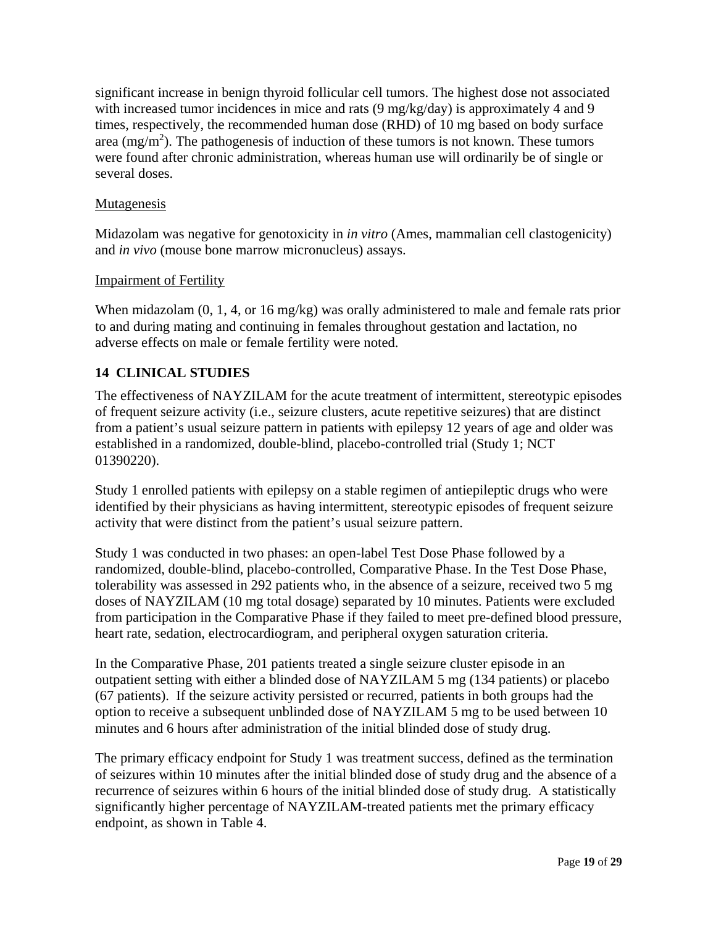significant increase in benign thyroid follicular cell tumors. The highest dose not associated with increased tumor incidences in mice and rats (9 mg/kg/day) is approximately 4 and 9 times, respectively, the recommended human dose (RHD) of 10 mg based on body surface area  $(mg/m<sup>2</sup>)$ . The pathogenesis of induction of these tumors is not known. These tumors were found after chronic administration, whereas human use will ordinarily be of single or several doses.

## Mutagenesis

Midazolam was negative for genotoxicity in *in vitro* (Ames, mammalian cell clastogenicity) and *in vivo* (mouse bone marrow micronucleus) assays.

## Impairment of Fertility

When midazolam  $(0, 1, 4, \text{or } 16 \text{ mg/kg})$  was orally administered to male and female rats prior to and during mating and continuing in females throughout gestation and lactation, no adverse effects on male or female fertility were noted.

## **14 CLINICAL STUDIES**

The effectiveness of NAYZILAM for the acute treatment of intermittent, stereotypic episodes of frequent seizure activity (i.e., seizure clusters, acute repetitive seizures) that are distinct from a patient's usual seizure pattern in patients with epilepsy 12 years of age and older was established in a randomized, double-blind, placebo-controlled trial (Study 1; NCT 01390220).

Study 1 enrolled patients with epilepsy on a stable regimen of antiepileptic drugs who were identified by their physicians as having intermittent, stereotypic episodes of frequent seizure activity that were distinct from the patient's usual seizure pattern.

Study 1 was conducted in two phases: an open-label Test Dose Phase followed by a randomized, double-blind, placebo-controlled, Comparative Phase. In the Test Dose Phase, tolerability was assessed in 292 patients who, in the absence of a seizure, received two 5 mg doses of NAYZILAM (10 mg total dosage) separated by 10 minutes. Patients were excluded from participation in the Comparative Phase if they failed to meet pre-defined blood pressure, heart rate, sedation, electrocardiogram, and peripheral oxygen saturation criteria.

In the Comparative Phase, 201 patients treated a single seizure cluster episode in an outpatient setting with either a blinded dose of NAYZILAM 5 mg (134 patients) or placebo (67 patients). If the seizure activity persisted or recurred, patients in both groups had the option to receive a subsequent unblinded dose of NAYZILAM 5 mg to be used between 10 minutes and 6 hours after administration of the initial blinded dose of study drug.

The primary efficacy endpoint for Study 1 was treatment success, defined as the termination of seizures within 10 minutes after the initial blinded dose of study drug and the absence of a recurrence of seizures within 6 hours of the initial blinded dose of study drug. A statistically significantly higher percentage of NAYZILAM-treated patients met the primary efficacy endpoint, as shown in Table 4.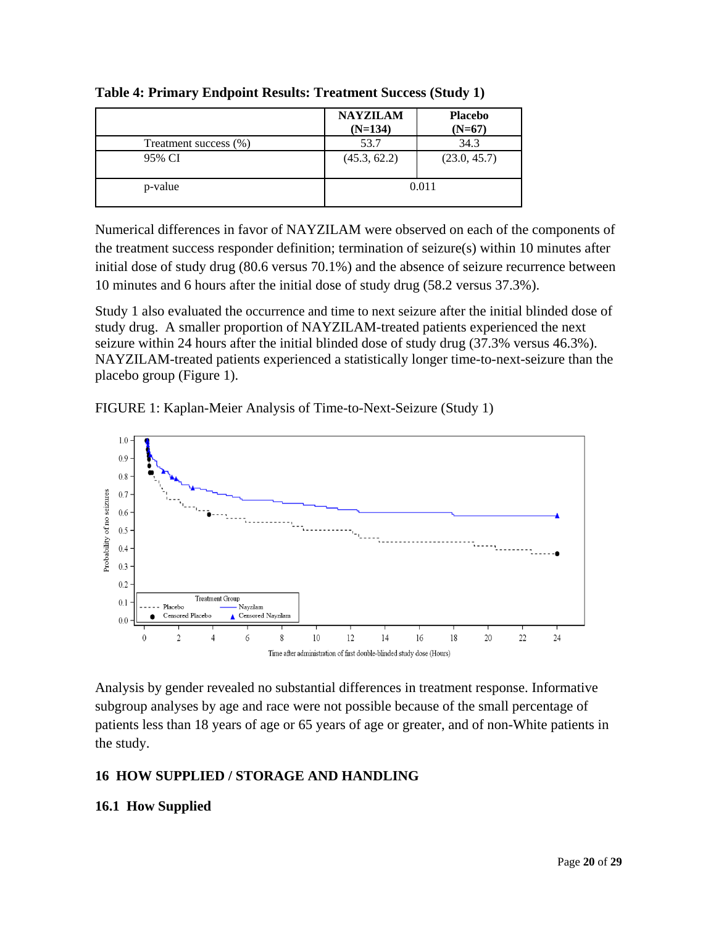|                       | <b>NAYZILAM</b><br>$(N=134)$ | <b>Placebo</b><br>$(N=67)$ |
|-----------------------|------------------------------|----------------------------|
| Treatment success (%) | 53.7                         | 34.3                       |
| 95% CI                | (45.3, 62.2)                 | (23.0, 45.7)               |
| p-value               | 0.011                        |                            |

**Table 4: Primary Endpoint Results: Treatment Success (Study 1)** 

Numerical differences in favor of NAYZILAM were observed on each of the components of the treatment success responder definition; termination of seizure(s) within 10 minutes after initial dose of study drug (80.6 versus 70.1%) and the absence of seizure recurrence between 10 minutes and 6 hours after the initial dose of study drug (58.2 versus 37.3%).

Study 1 also evaluated the occurrence and time to next seizure after the initial blinded dose of study drug. A smaller proportion of NAYZILAM-treated patients experienced the next seizure within 24 hours after the initial blinded dose of study drug (37.3% versus 46.3%). NAYZILAM-treated patients experienced a statistically longer time-to-next-seizure than the placebo group (Figure 1).





Analysis by gender revealed no substantial differences in treatment response. Informative subgroup analyses by age and race were not possible because of the small percentage of patients less than 18 years of age or 65 years of age or greater, and of non-White patients in the study.

# **16 HOW SUPPLIED / STORAGE AND HANDLING**

# **16.1 How Supplied**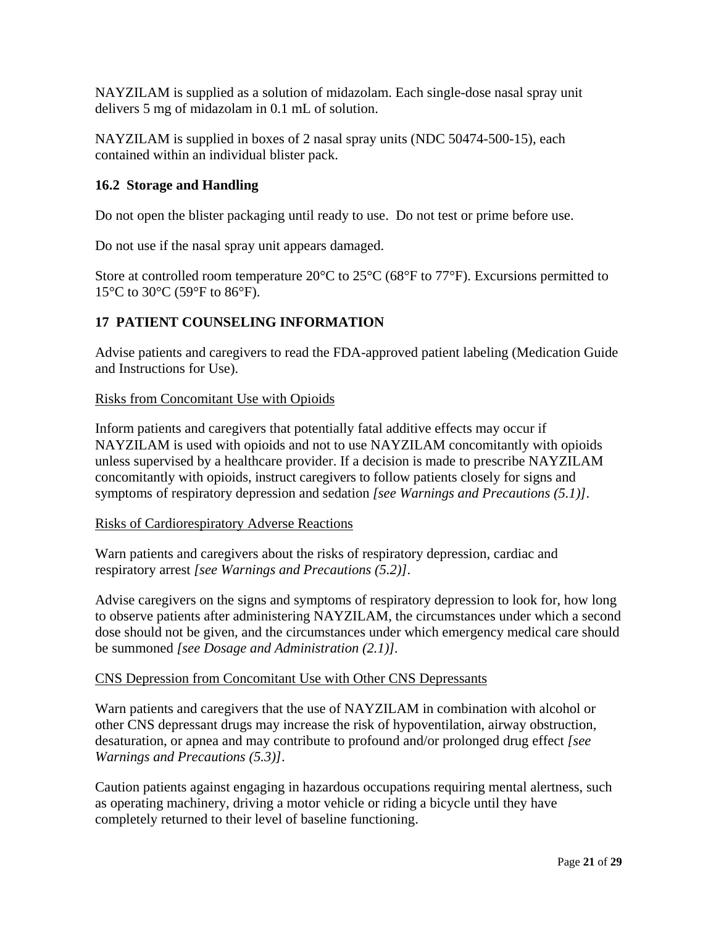NAYZILAM is supplied as a solution of midazolam. Each single-dose nasal spray unit delivers 5 mg of midazolam in 0.1 mL of solution.

NAYZILAM is supplied in boxes of 2 nasal spray units (NDC 50474-500-15), each contained within an individual blister pack.

## **16.2 Storage and Handling**

Do not open the blister packaging until ready to use. Do not test or prime before use.

Do not use if the nasal spray unit appears damaged.

Store at controlled room temperature  $20^{\circ}$ C to  $25^{\circ}$ C (68°F to 77°F). Excursions permitted to 15°C to 30°C (59°F to 86°F).

## **17 PATIENT COUNSELING INFORMATION**

Advise patients and caregivers to read the FDA-approved patient labeling (Medication Guide and Instructions for Use).

## Risks from Concomitant Use with Opioids

Inform patients and caregivers that potentially fatal additive effects may occur if NAYZILAM is used with opioids and not to use NAYZILAM concomitantly with opioids unless supervised by a healthcare provider. If a decision is made to prescribe NAYZILAM concomitantly with opioids, instruct caregivers to follow patients closely for signs and symptoms of respiratory depression and sedation *[see Warnings and Precautions (5.1)]*.

## Risks of Cardiorespiratory Adverse Reactions

Warn patients and caregivers about the risks of respiratory depression, cardiac and respiratory arrest *[see Warnings and Precautions (5.2)]*.

Advise caregivers on the signs and symptoms of respiratory depression to look for, how long to observe patients after administering NAYZILAM, the circumstances under which a second dose should not be given, and the circumstances under which emergency medical care should be summoned *[see Dosage and Administration (2.1)].*

## CNS Depression from Concomitant Use with Other CNS Depressants

Warn patients and caregivers that the use of NAYZILAM in combination with alcohol or other CNS depressant drugs may increase the risk of hypoventilation, airway obstruction, desaturation, or apnea and may contribute to profound and/or prolonged drug effect *[see Warnings and Precautions (5.3)]*.

Caution patients against engaging in hazardous occupations requiring mental alertness, such as operating machinery, driving a motor vehicle or riding a bicycle until they have completely returned to their level of baseline functioning.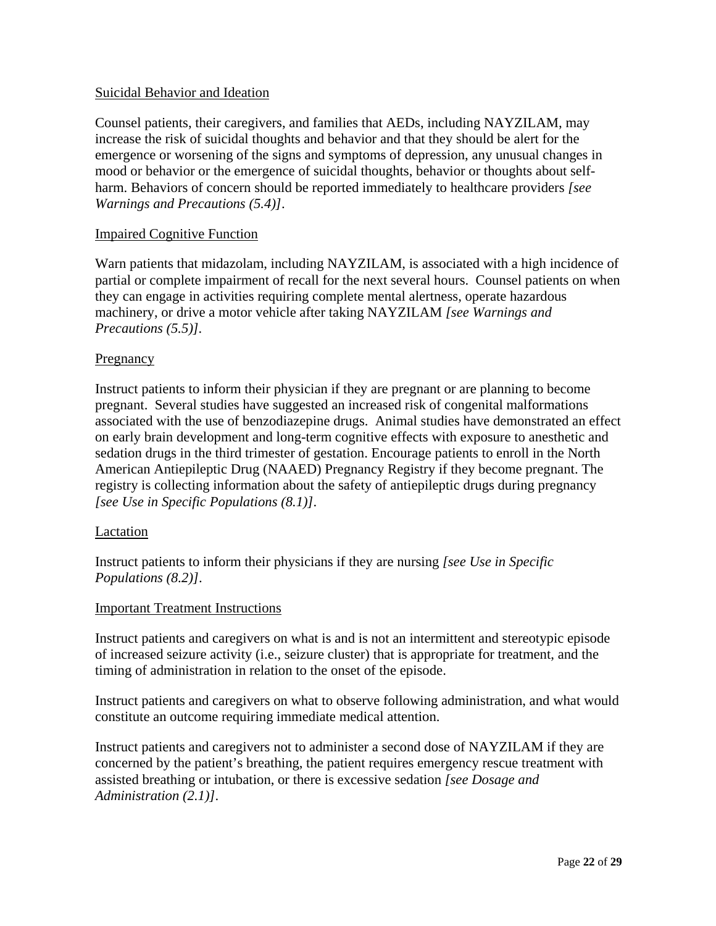## Suicidal Behavior and Ideation

Counsel patients, their caregivers, and families that AEDs, including NAYZILAM, may increase the risk of suicidal thoughts and behavior and that they should be alert for the emergence or worsening of the signs and symptoms of depression, any unusual changes in mood or behavior or the emergence of suicidal thoughts, behavior or thoughts about selfharm. Behaviors of concern should be reported immediately to healthcare providers *[see Warnings and Precautions (5.4)]*.

## Impaired Cognitive Function

Warn patients that midazolam, including NAYZILAM, is associated with a high incidence of partial or complete impairment of recall for the next several hours. Counsel patients on when they can engage in activities requiring complete mental alertness, operate hazardous machinery, or drive a motor vehicle after taking NAYZILAM *[see Warnings and Precautions (5.5)].*

## Pregnancy

Instruct patients to inform their physician if they are pregnant or are planning to become pregnant. Several studies have suggested an increased risk of congenital malformations associated with the use of benzodiazepine drugs. Animal studies have demonstrated an effect on early brain development and long-term cognitive effects with exposure to anesthetic and sedation drugs in the third trimester of gestation. Encourage patients to enroll in the North American Antiepileptic Drug (NAAED) Pregnancy Registry if they become pregnant. The registry is collecting information about the safety of antiepileptic drugs during pregnancy *[see Use in Specific Populations (8.1)]*.

## Lactation

Instruct patients to inform their physicians if they are nursing *[see Use in Specific Populations (8.2)]*.

## Important Treatment Instructions

Instruct patients and caregivers on what is and is not an intermittent and stereotypic episode of increased seizure activity (i.e., seizure cluster) that is appropriate for treatment, and the timing of administration in relation to the onset of the episode.

Instruct patients and caregivers on what to observe following administration, and what would constitute an outcome requiring immediate medical attention.

Instruct patients and caregivers not to administer a second dose of NAYZILAM if they are concerned by the patient's breathing, the patient requires emergency rescue treatment with assisted breathing or intubation, or there is excessive sedation *[see Dosage and Administration (2.1)]*.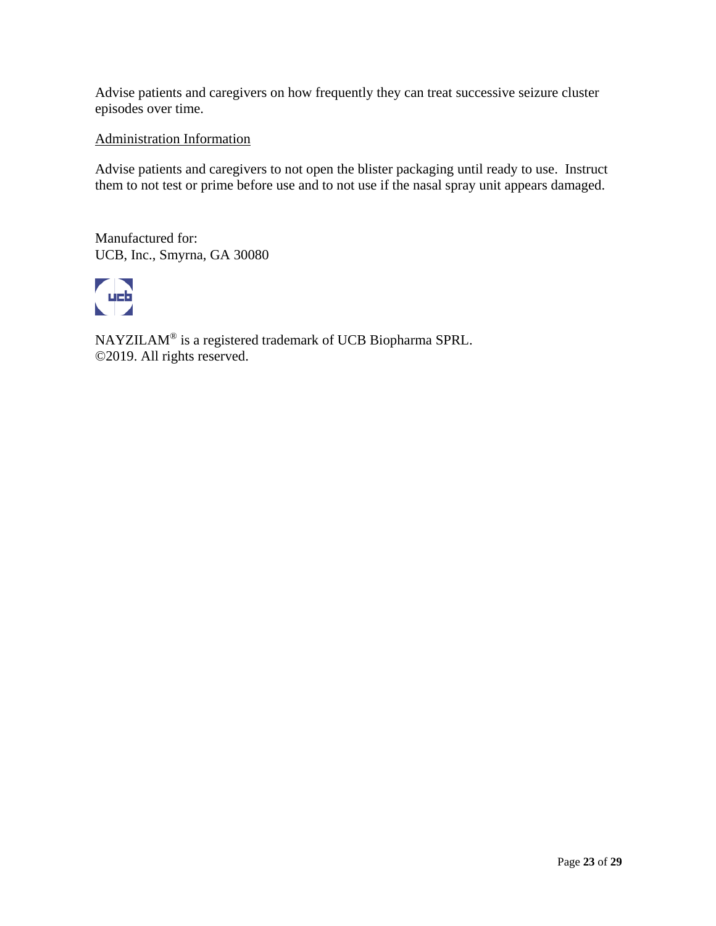Advise patients and caregivers on how frequently they can treat successive seizure cluster episodes over time.

#### Administration Information

Advise patients and caregivers to not open the blister packaging until ready to use. Instruct them to not test or prime before use and to not use if the nasal spray unit appears damaged.

Manufactured for: UCB, Inc., Smyrna, GA 30080



NAYZILAM® is a registered trademark of UCB Biopharma SPRL. ©2019. All rights reserved.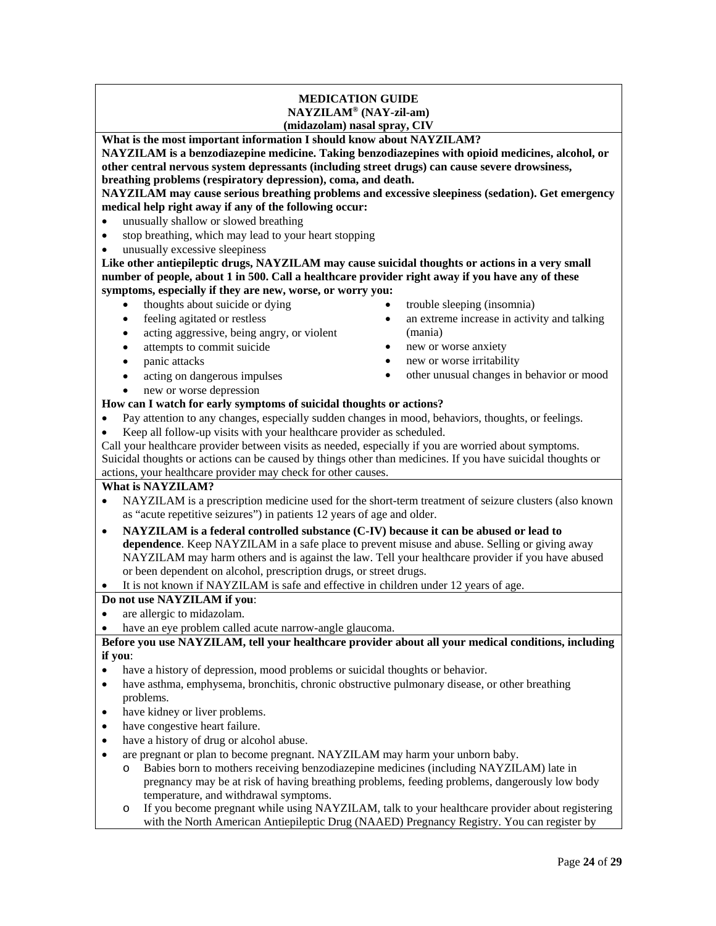#### **MEDICATION GUIDE NAYZILAM® (NAY-zil-am) (midazolam) nasal spray, CIV**

**What is the most important information I should know about NAYZILAM?** 

**NAYZILAM is a benzodiazepine medicine. Taking benzodiazepines with opioid medicines, alcohol, or other central nervous system depressants (including street drugs) can cause severe drowsiness, breathing problems (respiratory depression), coma, and death.**

**NAYZILAM may cause serious breathing problems and excessive sleepiness (sedation). Get emergency medical help right away if any of the following occur:**

- unusually shallow or slowed breathing
- stop breathing, which may lead to your heart stopping
- unusually excessive sleepiness

**Like other antiepileptic drugs, NAYZILAM may cause suicidal thoughts or actions in a very small number of people, about 1 in 500. Call a healthcare provider right away if you have any of these symptoms, especially if they are new, worse, or worry you:**

- thoughts about suicide or dying
- feeling agitated or restless
- acting aggressive, being angry, or violent
- attempts to commit suicide
- panic attacks
- acting on dangerous impulses
- new or worse depression
- **How can I watch for early symptoms of suicidal thoughts or actions?**
- Pay attention to any changes, especially sudden changes in mood, behaviors, thoughts, or feelings.
- Keep all follow-up visits with your healthcare provider as scheduled.

Call your healthcare provider between visits as needed, especially if you are worried about symptoms. Suicidal thoughts or actions can be caused by things other than medicines. If you have suicidal thoughts or actions, your healthcare provider may check for other causes.

#### **What is NAYZILAM?**

- NAYZILAM is a prescription medicine used for the short-term treatment of seizure clusters (also known as "acute repetitive seizures") in patients 12 years of age and older.
- **NAYZILAM is a federal controlled substance (C-IV) because it can be abused or lead to dependence**. Keep NAYZILAM in a safe place to prevent misuse and abuse. Selling or giving away NAYZILAM may harm others and is against the law. Tell your healthcare provider if you have abused or been dependent on alcohol, prescription drugs, or street drugs.
- It is not known if NAYZILAM is safe and effective in children under 12 years of age.

#### **Do not use NAYZILAM if you**:

- are allergic to midazolam.
- have an eye problem called acute narrow-angle glaucoma.

#### **Before you use NAYZILAM, tell your healthcare provider about all your medical conditions, including if you**:

- have a history of depression, mood problems or suicidal thoughts or behavior.
- have asthma, emphysema, bronchitis, chronic obstructive pulmonary disease, or other breathing problems.
- have kidney or liver problems.
- have congestive heart failure.
- have a history of drug or alcohol abuse.
- are pregnant or plan to become pregnant. NAYZILAM may harm your unborn baby.
	- o Babies born to mothers receiving benzodiazepine medicines (including NAYZILAM) late in pregnancy may be at risk of having breathing problems, feeding problems, dangerously low body temperature, and withdrawal symptoms.
	- If you become pregnant while using NAYZILAM, talk to your healthcare provider about registering with the North American Antiepileptic Drug (NAAED) Pregnancy Registry. You can register by
- trouble sleeping (insomnia)
- an extreme increase in activity and talking (mania)
- new or worse anxiety
- new or worse irritability
- other unusual changes in behavior or mood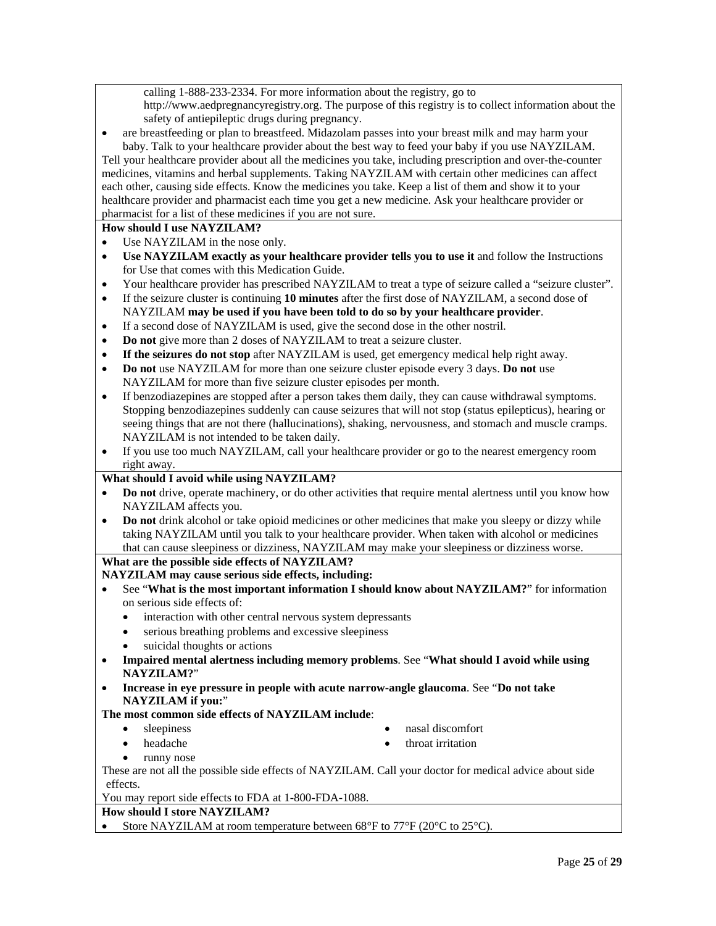calling 1-888-233-2334. For more information about the registry, go to http://www.aedpregnancyregistry.org. The purpose of this registry is to collect information about the safety of antiepileptic drugs during pregnancy.

• are breastfeeding or plan to breastfeed. Midazolam passes into your breast milk and may harm your baby. Talk to your healthcare provider about the best way to feed your baby if you use NAYZILAM.

Tell your healthcare provider about all the medicines you take, including prescription and over-the-counter medicines, vitamins and herbal supplements. Taking NAYZILAM with certain other medicines can affect each other, causing side effects. Know the medicines you take. Keep a list of them and show it to your healthcare provider and pharmacist each time you get a new medicine. Ask your healthcare provider or pharmacist for a list of these medicines if you are not sure.

#### **How should I use NAYZILAM?**

- Use NAYZILAM in the nose only.
- **Use NAYZILAM exactly as your healthcare provider tells you to use it** and follow the Instructions for Use that comes with this Medication Guide.
- Your healthcare provider has prescribed NAYZILAM to treat a type of seizure called a "seizure cluster".
- If the seizure cluster is continuing **10 minutes** after the first dose of NAYZILAM, a second dose of NAYZILAM **may be used if you have been told to do so by your healthcare provider**.
- If a second dose of NAYZILAM is used, give the second dose in the other nostril.
- **Do not** give more than 2 doses of NAYZILAM to treat a seizure cluster.
- **If the seizures do not stop** after NAYZILAM is used, get emergency medical help right away.
- **Do not** use NAYZILAM for more than one seizure cluster episode every 3 days. **Do not** use NAYZILAM for more than five seizure cluster episodes per month.
- If benzodiazepines are stopped after a person takes them daily, they can cause withdrawal symptoms. Stopping benzodiazepines suddenly can cause seizures that will not stop (status epilepticus), hearing or seeing things that are not there (hallucinations), shaking, nervousness, and stomach and muscle cramps. NAYZILAM is not intended to be taken daily.
- If you use too much NAYZILAM, call your healthcare provider or go to the nearest emergency room right away.

#### **What should I avoid while using NAYZILAM?**

- **Do not** drive, operate machinery, or do other activities that require mental alertness until you know how NAYZILAM affects you.
- **Do not** drink alcohol or take opioid medicines or other medicines that make you sleepy or dizzy while taking NAYZILAM until you talk to your healthcare provider. When taken with alcohol or medicines that can cause sleepiness or dizziness, NAYZILAM may make your sleepiness or dizziness worse.

#### **What are the possible side effects of NAYZILAM?**

#### **NAYZILAM may cause serious side effects, including:**

- See "**What is the most important information I should know about NAYZILAM?**" for information on serious side effects of:
	- interaction with other central nervous system depressants
	- serious breathing problems and excessive sleepiness
	- suicidal thoughts or actions
- **Impaired mental alertness including memory problems**. See "**What should I avoid while using NAYZILAM?**"
- **Increase in eye pressure in people with acute narrow-angle glaucoma**. See "**Do not take NAYZILAM if you:**"

#### **The most common side effects of NAYZILAM include**:

- sleepiness
	- headache
- nasal discomfort
- throat irritation

runny nose

These are not all the possible side effects of NAYZILAM. Call your doctor for medical advice about side effects.

You may report side effects to FDA at 1-800-FDA-1088.

#### **How should I store NAYZILAM?**

Store NAYZILAM at room temperature between 68°F to 77°F (20°C to 25°C).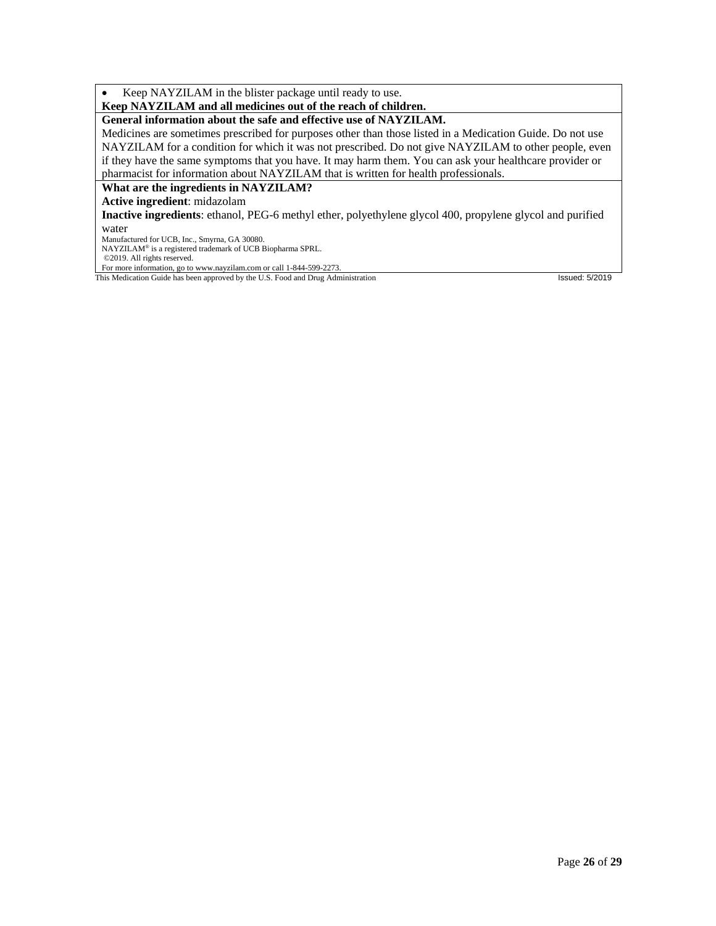Keep NAYZILAM in the blister package until ready to use.

#### **Keep NAYZILAM and all medicines out of the reach of children.**

#### **General information about the safe and effective use of NAYZILAM.**

Medicines are sometimes prescribed for purposes other than those listed in a Medication Guide. Do not use NAYZILAM for a condition for which it was not prescribed. Do not give NAYZILAM to other people, even if they have the same symptoms that you have. It may harm them. You can ask your healthcare provider or pharmacist for information about NAYZILAM that is written for health professionals.

**What are the ingredients in NAYZILAM?**

**Active ingredient**: midazolam

**Inactive ingredients**: ethanol, PEG-6 methyl ether, polyethylene glycol 400, propylene glycol and purified water

Manufactured for UCB, Inc., Smyrna, GA 30080.

NAYZILAM® is a registered trademark of UCB Biopharma SPRL.

©2019. All rights reserved.

For more information, go to www.nayzilam.com or call 1-844-599-2273. This Medication Guide has been approved by the U.S. Food and Drug Administration Issued: 5/2019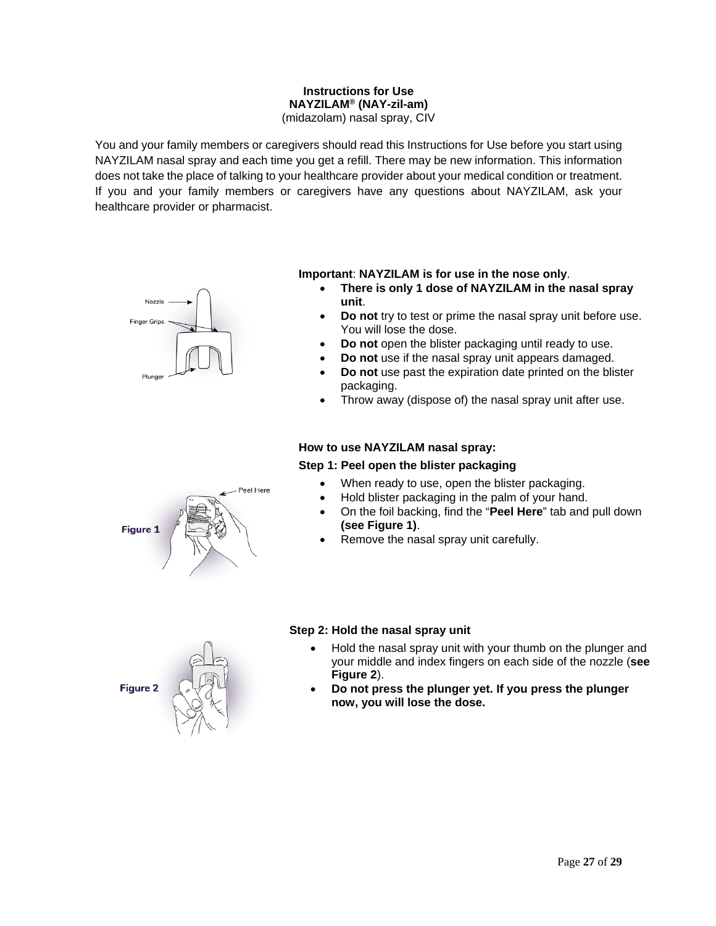#### **Instructions for Use NAYZILAM® (NAY-zil-am)** (midazolam) nasal spray, CIV

You and your family members or caregivers should read this Instructions for Use before you start using NAYZILAM nasal spray and each time you get a refill. There may be new information. This information does not take the place of talking to your healthcare provider about your medical condition or treatment. If you and your family members or caregivers have any questions about NAYZILAM, ask your healthcare provider or pharmacist.



eel Here

#### **Important**: **NAYZILAM is for use in the nose only**.

- **There is only 1 dose of NAYZILAM in the nasal spray unit**.
- **Do not** try to test or prime the nasal spray unit before use. You will lose the dose.
- **Do not** open the blister packaging until ready to use.
- **Do not** use if the nasal spray unit appears damaged.
- **Do not** use past the expiration date printed on the blister packaging.
- Throw away (dispose of) the nasal spray unit after use.

#### **How to use NAYZILAM nasal spray:**

#### **Step 1: Peel open the blister packaging**

- When ready to use, open the blister packaging.
- Hold blister packaging in the palm of your hand.
- On the foil backing, find the "**Peel Here**" tab and pull down **(see Figure 1)**.
- Remove the nasal spray unit carefully.



- Hold the nasal spray unit with your thumb on the plunger and your middle and index fingers on each side of the nozzle (**see Figure 2**).
- **Do not press the plunger yet. If you press the plunger now, you will lose the dose.**



**Figure 1**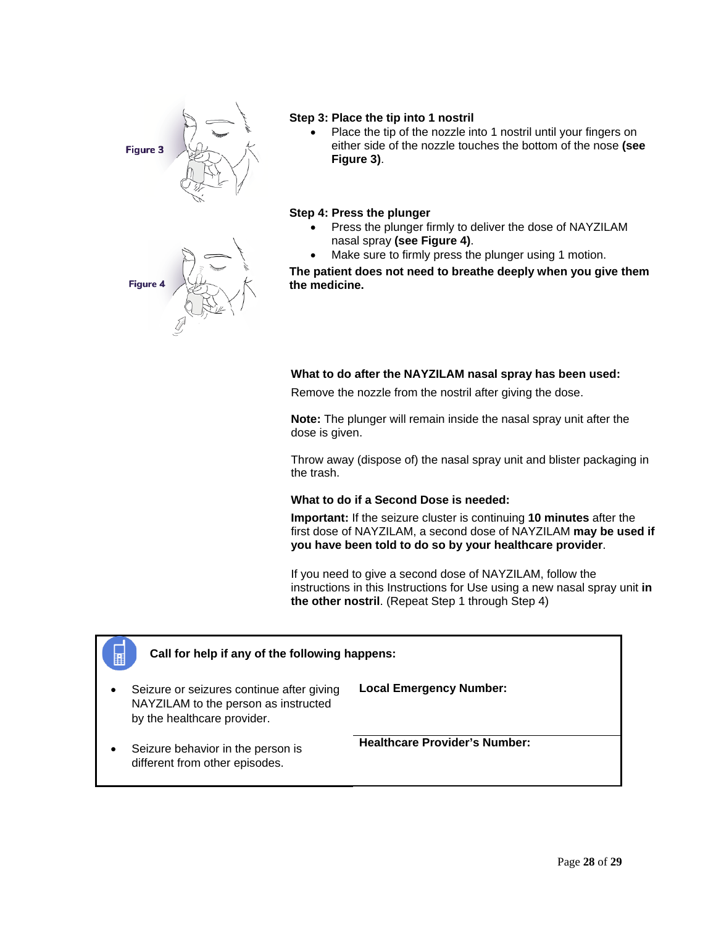



#### **Step 3: Place the tip into 1 nostril**

• Place the tip of the nozzle into 1 nostril until your fingers on either side of the nozzle touches the bottom of the nose **(see Figure 3)**.

#### **Step 4: Press the plunger**

- Press the plunger firmly to deliver the dose of NAYZILAM nasal spray **(see Figure 4)**.
- Make sure to firmly press the plunger using 1 motion.

**The patient does not need to breathe deeply when you give them the medicine.**

#### **What to do after the NAYZILAM nasal spray has been used:**

Remove the nozzle from the nostril after giving the dose.

**Note:** The plunger will remain inside the nasal spray unit after the dose is given.

Throw away (dispose of) the nasal spray unit and blister packaging in the trash.

#### **What to do if a Second Dose is needed:**

**Important:** If the seizure cluster is continuing **10 minutes** after the first dose of NAYZILAM, a second dose of NAYZILAM **may be used if you have been told to do so by your healthcare provider**.

If you need to give a second dose of NAYZILAM, follow the instructions in this Instructions for Use using a new nasal spray unit **in the other nostril**. (Repeat Step 1 through Step 4)